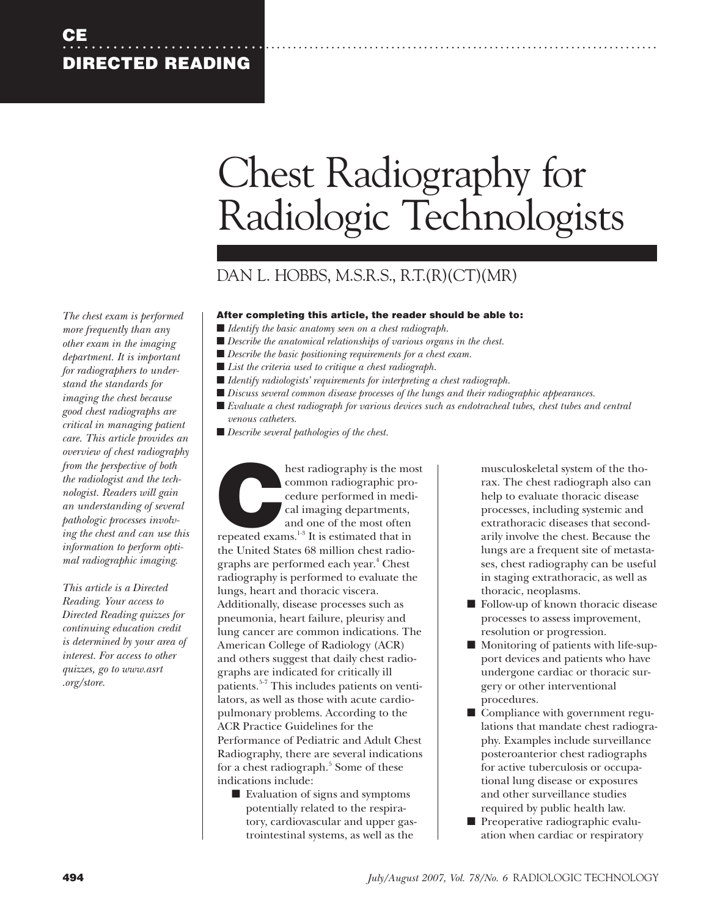# Chest Radiography for Radiologic Technologists

## DAN L. HOBBS, M.S.R.S., R.T.(R)(CT)(MR)

## **After completing this article, the reader should be able to:**

- *Identify the basic anatomy seen on a chest radiograph.*
- *Describe the anatomical relationships of various organs in the chest.*
- *Describe the basic positioning requirements for a chest exam.*
- *List the criteria used to critique a chest radiograph.*
- ■ *Identify radiologists' requirements for interpreting a chest radiograph.*
- *Discuss several common disease processes of the lungs and their radiographic appearances.*
- *Evaluate a chest radiograph for various devices such as endotracheal tubes, chest tubes and central*
- *venous catheters.*
- *Describe several pathologies of the chest.*

hest radiography is the most<br>
common radiographic pro-<br>
cedure performed in medi-<br>
cal imaging departments,<br>
and one of the most often<br>
repeated exams.<sup>1-3</sup> It is estimated that in common radiographic procedure performed in medical imaging departments, and one of the most often the United States 68 million chest radiographs are performed each year.<sup>4</sup> Chest radiography is performed to evaluate the lungs, heart and thoracic viscera. Additionally, disease processes such as pneumonia, heart failure, pleurisy and lung cancer are common indications. The American College of Radiology (ACR) and others suggest that daily chest radiographs are indicated for critically ill patients.<sup>5-7</sup> This includes patients on ventilators, as well as those with acute cardiopulmonary problems. According to the ACR Practice Guidelines for the Performance of Pediatric and Adult Chest Radiography, there are several indications for a chest radiograph.<sup>5</sup> Some of these indications include:

■ Evaluation of signs and symptoms potentially related to the respiratory, cardiovascular and upper gastrointestinal systems, as well as the

musculoskeletal system of the thorax. The chest radiograph also can help to evaluate thoracic disease processes, including systemic and extrathoracic diseases that secondarily involve the chest. Because the lungs are a frequent site of metastases, chest radiography can be useful in staging extrathoracic, as well as thoracic, neoplasms.

- Follow-up of known thoracic disease processes to assess improvement, resolution or progression.
- Monitoring of patients with life-support devices and patients who have undergone cardiac or thoracic surgery or other interventional procedures.
- Compliance with government regulations that mandate chest radiography. Examples include surveillance posteroanterior chest radiographs for active tuberculosis or occupational lung disease or exposures and other surveillance studies required by public health law.
- Preoperative radiographic evaluation when cardiac or respiratory

*The chest exam is performed more frequently than any other exam in the imaging department. It is important for radiographers to understand the standards for imaging the chest because good chest radiographs are critical in managing patient care. This article provides an overview of chest radiography from the perspective of both the radiologist and the technologist. Readers will gain an understanding of several pathologic processes involving the chest and can use this information to perform optimal radiographic imaging.*

*This article is a Directed Reading. Your access to Directed Reading quizzes for continuing education credit is determined by your area of interest. For access to other quizzes, go to www.asrt .org/store.*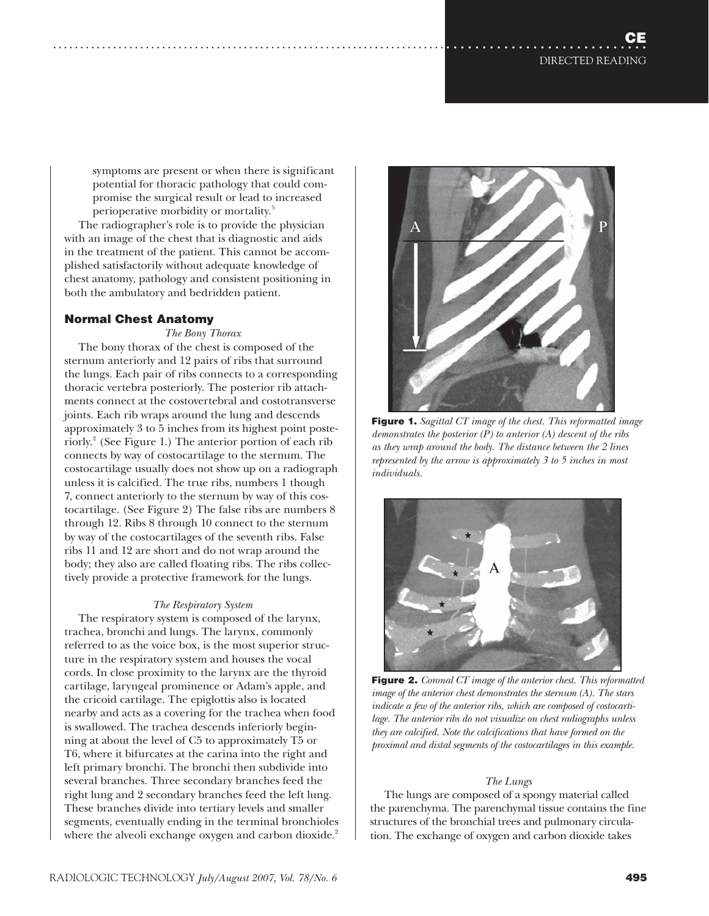symptoms are present or when there is significant potential for thoracic pathology that could compromise the surgical result or lead to increased perioperative morbidity or mortality.<sup>5</sup>

The radiographer's role is to provide the physician with an image of the chest that is diagnostic and aids in the treatment of the patient. This cannot be accomplished satisfactorily without adequate knowledge of chest anatomy, pathology and consistent positioning in both the ambulatory and bedridden patient.

## **Normal Chest Anatomy**

*The Bony Thorax*

The bony thorax of the chest is composed of the sternum anteriorly and 12 pairs of ribs that surround the lungs. Each pair of ribs connects to a corresponding thoracic vertebra posteriorly. The posterior rib attachments connect at the costovertebral and costotransverse joints. Each rib wraps around the lung and descends approximately 3 to 5 inches from its highest point posteriorly.<sup>2</sup> (See Figure 1.) The anterior portion of each rib connects by way of costocartilage to the sternum. The costocartilage usually does not show up on a radiograph unless it is calcified. The true ribs, numbers 1 though 7, connect anteriorly to the sternum by way of this costocartilage. (See Figure 2) The false ribs are numbers 8 through 12. Ribs 8 through 10 connect to the sternum by way of the costocartilages of the seventh ribs. False ribs 11 and 12 are short and do not wrap around the body; they also are called floating ribs. The ribs collectively provide a protective framework for the lungs.

### *The Respiratory System*

The respiratory system is composed of the larynx, trachea, bronchi and lungs. The larynx, commonly referred to as the voice box, is the most superior structure in the respiratory system and houses the vocal cords. In close proximity to the larynx are the thyroid cartilage, laryngeal prominence or Adam's apple, and the cricoid cartilage. The epiglottis also is located nearby and acts as a covering for the trachea when food is swallowed. The trachea descends inferiorly beginning at about the level of C5 to approximately T5 or T6, where it bifurcates at the carina into the right and left primary bronchi. The bronchi then subdivide into several branches. Three secondary branches feed the right lung and 2 secondary branches feed the left lung. These branches divide into tertiary levels and smaller segments, eventually ending in the terminal bronchioles where the alveoli exchange oxygen and carbon dioxide.<sup>2</sup>



**Figure 1.** *Sagittal CT image of the chest. This reformatted image demonstrates the posterior (P) to anterior (A) descent of the ribs as they wrap around the body. The distance between the 2 lines represented by the arrow is approximately 3 to 5 inches in most individuals.*



**Figure 2.** *Coronal CT image of the anterior chest. This reformatted image of the anterior chest demonstrates the sternum (A). The stars indicate a few of the anterior ribs, which are composed of costocartilage. The anterior ribs do not visualize on chest radiographs unless they are calcified. Note the calcifications that have formed on the proximal and distal segments of the costocartilages in this example.*

#### *The Lungs*

The lungs are composed of a spongy material called the parenchyma. The parenchymal tissue contains the fine structures of the bronchial trees and pulmonary circulation. The exchange of oxygen and carbon dioxide takes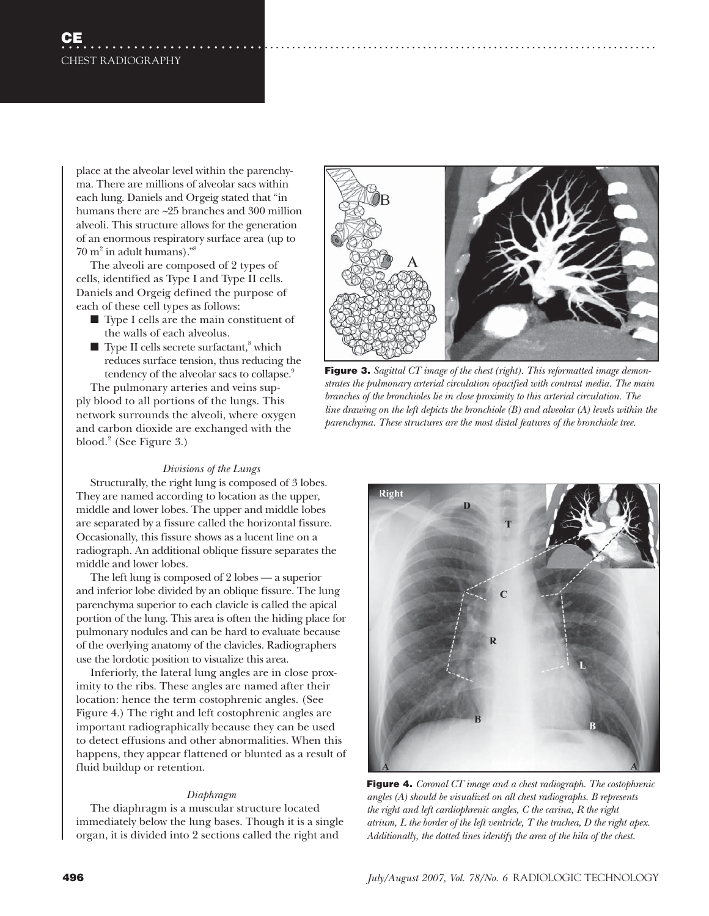place at the alveolar level within the parenchyma. There are millions of alveolar sacs within each lung. Daniels and Orgeig stated that "in humans there are ~25 branches and 300 million alveoli. This structure allows for the generation of an enormous respiratory surface area (up to  $70 \text{ m}^2$  in adult humans)."<sup>8</sup>

The alveoli are composed of 2 types of cells, identified as Type I and Type II cells. Daniels and Orgeig defined the purpose of each of these cell types as follows:

- Type I cells are the main constituent of the walls of each alveolus.
- $\blacksquare$  Type II cells secrete surfactant,<sup>8</sup> which reduces surface tension, thus reducing the tendency of the alveolar sacs to collapse.<sup>9</sup>

The pulmonary arteries and veins supply blood to all portions of the lungs. This network surrounds the alveoli, where oxygen and carbon dioxide are exchanged with the blood.<sup>2</sup> (See Figure 3.)

#### *Divisions of the Lungs*

Structurally, the right lung is composed of 3 lobes. They are named according to location as the upper, middle and lower lobes. The upper and middle lobes are separated by a fissure called the horizontal fissure. Occasionally, this fissure shows as a lucent line on a radiograph. An additional oblique fissure separates the middle and lower lobes.

The left lung is composed of 2 lobes — a superior and inferior lobe divided by an oblique fissure. The lung parenchyma superior to each clavicle is called the apical portion of the lung. This area is often the hiding place for pulmonary nodules and can be hard to evaluate because of the overlying anatomy of the clavicles. Radiographers use the lordotic position to visualize this area.

Inferiorly, the lateral lung angles are in close proximity to the ribs. These angles are named after their location: hence the term costophrenic angles. (See Figure 4.) The right and left costophrenic angles are important radiographically because they can be used to detect effusions and other abnormalities. When this happens, they appear flattened or blunted as a result of fluid buildup or retention.

#### *Diaphragm*

The diaphragm is a muscular structure located immediately below the lung bases. Though it is a single organ, it is divided into 2 sections called the right and



**Figure 3.** *Sagittal CT image of the chest (right). This reformatted image demonstrates the pulmonary arterial circulation opacified with contrast media. The main*  branches of the bronchioles lie in close proximity to this arterial circulation. The *line drawing on the left depicts the bronchiole (B) and alveolar (A) levels within the parenchyma. These structures are the most distal features of the bronchiole tree.*



**Figure 4.** *Coronal CT image and a chest radiograph. The costophrenic angles (A) should be visualized on all chest radiographs. B represents the right and left cardiophrenic angles, C the carina, R the right atrium, L the border of the left ventricle, T the trachea, D the right apex. Additionally, the dotted lines identify the area of the hila of the chest.*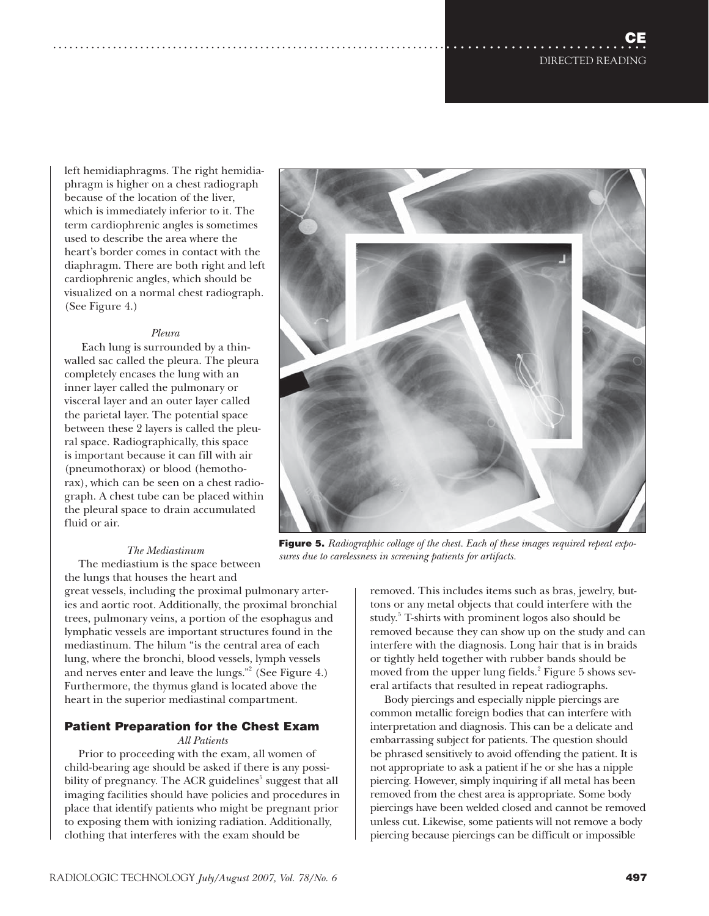left hemidiaphragms. The right hemidiaphragm is higher on a chest radiograph because of the location of the liver, which is immediately inferior to it. The term cardiophrenic angles is sometimes used to describe the area where the heart's border comes in contact with the diaphragm. There are both right and left cardiophrenic angles, which should be visualized on a normal chest radiograph. (See Figure 4.)

#### *Pleura*

 Each lung is surrounded by a thinwalled sac called the pleura. The pleura completely encases the lung with an inner layer called the pulmonary or visceral layer and an outer layer called the parietal layer. The potential space between these 2 layers is called the pleural space. Radiographically, this space is important because it can fill with air (pneumothorax) or blood (hemothorax), which can be seen on a chest radiograph. A chest tube can be placed within the pleural space to drain accumulated fluid or air.

#### *The Mediastinum*

The mediastium is the space between the lungs that houses the heart and

great vessels, including the proximal pulmonary arteries and aortic root. Additionally, the proximal bronchial trees, pulmonary veins, a portion of the esophagus and lymphatic vessels are important structures found in the mediastinum. The hilum "is the central area of each lung, where the bronchi, blood vessels, lymph vessels and nerves enter and leave the lungs." $2$  (See Figure 4.) Furthermore, the thymus gland is located above the heart in the superior mediastinal compartment.

## **Patient Preparation for the Chest Exam**

*All Patients*

Prior to proceeding with the exam, all women of child-bearing age should be asked if there is any possibility of pregnancy. The ACR guidelines<sup>5</sup> suggest that all imaging facilities should have policies and procedures in place that identify patients who might be pregnant prior to exposing them with ionizing radiation. Additionally, clothing that interferes with the exam should be



**Figure 5.** *Radiographic collage of the chest. Each of these images required repeat exposures due to carelessness in screening patients for artifacts.*

removed. This includes items such as bras, jewelry, buttons or any metal objects that could interfere with the study.<sup>5</sup> T-shirts with prominent logos also should be removed because they can show up on the study and can interfere with the diagnosis. Long hair that is in braids or tightly held together with rubber bands should be moved from the upper lung fields.<sup>2</sup> Figure 5 shows several artifacts that resulted in repeat radiographs.

Body piercings and especially nipple piercings are common metallic foreign bodies that can interfere with interpretation and diagnosis. This can be a delicate and embarrassing subject for patients. The question should be phrased sensitively to avoid offending the patient. It is not appropriate to ask a patient if he or she has a nipple piercing. However, simply inquiring if all metal has been removed from the chest area is appropriate. Some body piercings have been welded closed and cannot be removed unless cut. Likewise, some patients will not remove a body piercing because piercings can be difficult or impossible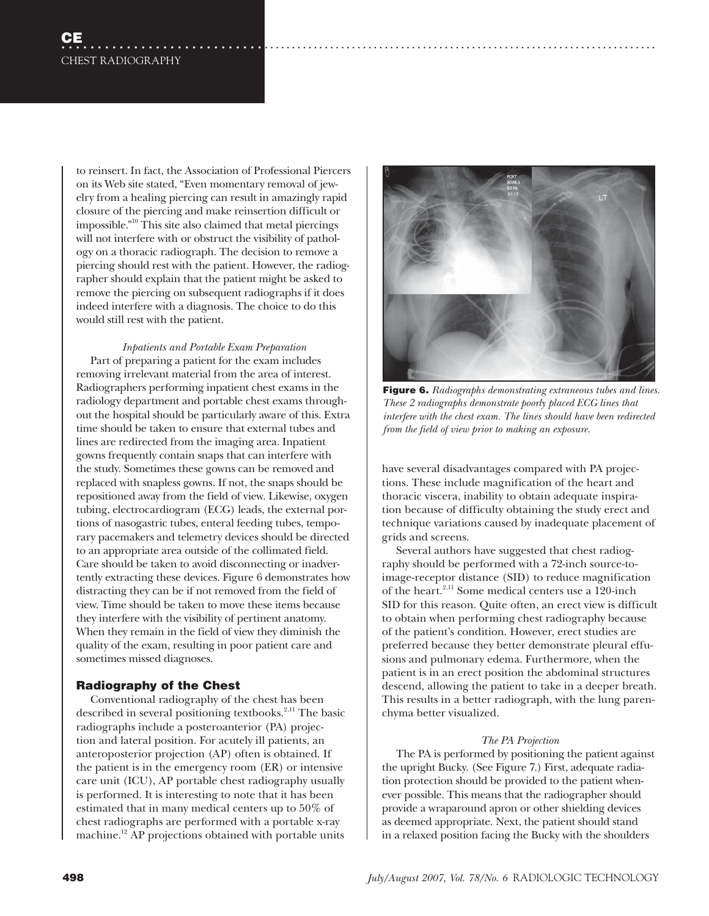to reinsert. In fact, the Association of Professional Piercers on its Web site stated, "Even momentary removal of jewelry from a healing piercing can result in amazingly rapid closure of the piercing and make reinsertion difficult or impossible."10 This site also claimed that metal piercings will not interfere with or obstruct the visibility of pathology on a thoracic radiograph. The decision to remove a piercing should rest with the patient. However, the radiographer should explain that the patient might be asked to remove the piercing on subsequent radiographs if it does indeed interfere with a diagnosis. The choice to do this would still rest with the patient.

*Inpatients and Portable Exam Preparation* Part of preparing a patient for the exam includes removing irrelevant material from the area of interest. Radiographers performing inpatient chest exams in the radiology department and portable chest exams throughout the hospital should be particularly aware of this. Extra time should be taken to ensure that external tubes and lines are redirected from the imaging area. Inpatient gowns frequently contain snaps that can interfere with the study. Sometimes these gowns can be removed and replaced with snapless gowns. If not, the snaps should be repositioned away from the field of view. Likewise, oxygen tubing, electrocardiogram (ECG) leads, the external portions of nasogastric tubes, enteral feeding tubes, temporary pacemakers and telemetry devices should be directed to an appropriate area outside of the collimated field. Care should be taken to avoid disconnecting or inadvertently extracting these devices. Figure 6 demonstrates how distracting they can be if not removed from the field of view. Time should be taken to move these items because they interfere with the visibility of pertinent anatomy. When they remain in the field of view they diminish the quality of the exam, resulting in poor patient care and sometimes missed diagnoses.

## **Radiography of the Chest**

Conventional radiography of the chest has been described in several positioning textbooks.<sup>2,11</sup> The basic radiographs include a posteroanterior (PA) projection and lateral position. For acutely ill patients, an anteroposterior projection (AP) often is obtained. If the patient is in the emergency room (ER) or intensive care unit (ICU), AP portable chest radiography usually is performed. It is interesting to note that it has been estimated that in many medical centers up to 50% of chest radiographs are performed with a portable x-ray machine.<sup>12</sup> AP projections obtained with portable units



**Figure 6.** *Radiographs demonstrating extraneous tubes and lines. These 2 radiographs demonstrate poorly placed ECG lines that interfere with the chest exam. The lines should have been redirected from the field of view prior to making an exposure.*

have several disadvantages compared with PA projections. These include magnification of the heart and thoracic viscera, inability to obtain adequate inspiration because of difficulty obtaining the study erect and technique variations caused by inadequate placement of grids and screens.

Several authors have suggested that chest radiography should be performed with a 72-inch source-toimage-receptor distance (SID) to reduce magnification of the heart.<sup>2,11</sup> Some medical centers use a 120-inch SID for this reason. Quite often, an erect view is difficult to obtain when performing chest radiography because of the patient's condition. However, erect studies are preferred because they better demonstrate pleural effusions and pulmonary edema. Furthermore, when the patient is in an erect position the abdominal structures descend, allowing the patient to take in a deeper breath. This results in a better radiograph, with the lung parenchyma better visualized.

## *The PA Projection*

The PA is performed by positioning the patient against the upright Bucky. (See Figure 7.) First, adequate radiation protection should be provided to the patient whenever possible. This means that the radiographer should provide a wraparound apron or other shielding devices as deemed appropriate. Next, the patient should stand in a relaxed position facing the Bucky with the shoulders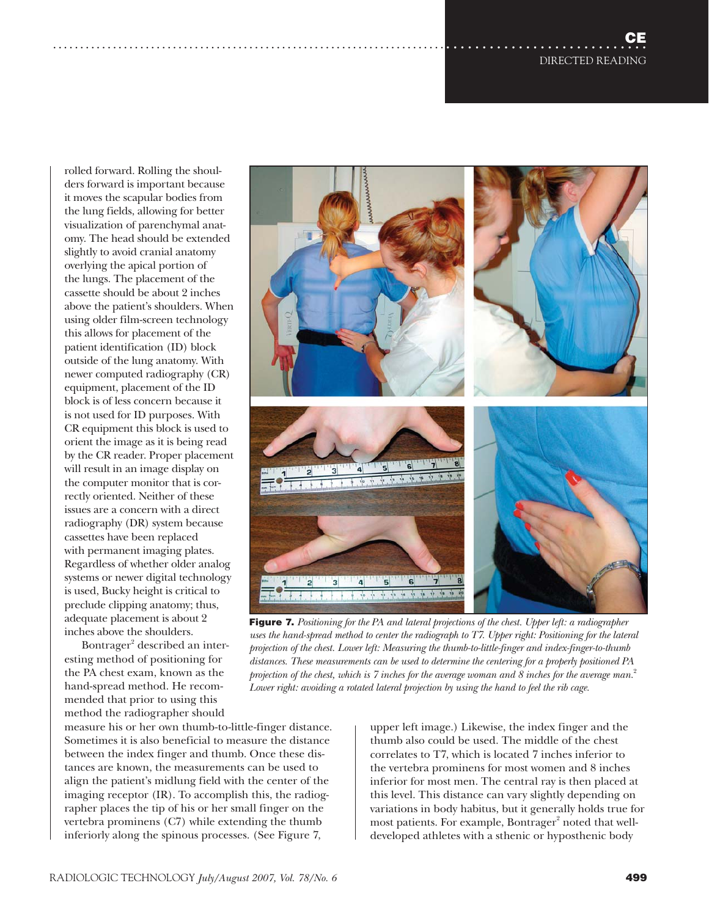**CE** DIRECTED READING ....................................................................................................

rolled forward. Rolling the shoulders forward is important because it moves the scapular bodies from the lung fields, allowing for better visualization of parenchymal anatomy. The head should be extended slightly to avoid cranial anatomy overlying the apical portion of the lungs. The placement of the cassette should be about 2 inches above the patient's shoulders. When using older film-screen technology this allows for placement of the patient identification (ID) block outside of the lung anatomy. With newer computed radiography (CR) equipment, placement of the ID block is of less concern because it is not used for ID purposes. With CR equipment this block is used to orient the image as it is being read by the CR reader. Proper placement will result in an image display on the computer monitor that is correctly oriented. Neither of these issues are a concern with a direct radiography (DR) system because cassettes have been replaced with permanent imaging plates. Regardless of whether older analog systems or newer digital technology is used, Bucky height is critical to preclude clipping anatomy; thus, adequate placement is about 2 inches above the shoulders.

Bontrager<sup>2</sup> described an interesting method of positioning for the PA chest exam, known as the hand-spread method. He recommended that prior to using this method the radiographer should

measure his or her own thumb-to-little-finger distance. Sometimes it is also beneficial to measure the distance between the index finger and thumb. Once these distances are known, the measurements can be used to align the patient's midlung field with the center of the imaging receptor (IR). To accomplish this, the radiographer places the tip of his or her small finger on the vertebra prominens (C7) while extending the thumb inferiorly along the spinous processes. (See Figure 7,

upper left image.) Likewise, the index finger and the thumb also could be used. The middle of the chest correlates to T7, which is located 7 inches inferior to the vertebra prominens for most women and 8 inches inferior for most men. The central ray is then placed at this level. This distance can vary slightly depending on variations in body habitus, but it generally holds true for most patients. For example, Bontrager $^{\rm 2}$  noted that welldeveloped athletes with a sthenic or hyposthenic body



*uses the hand-spread method to center the radiograph to T7. Upper right: Positioning for the lateral projection of the chest. Lower left: Measuring the thumb-to-little-finger and index-finger-to-thumb distances. These measurements can be used to determine the centering for a properly positioned PA projection of the chest, which is 7 inches for the average woman and 8 inches for the average man.*<sup>2</sup>

*Lower right: avoiding a rotated lateral projection by using the hand to feel the rib cage.*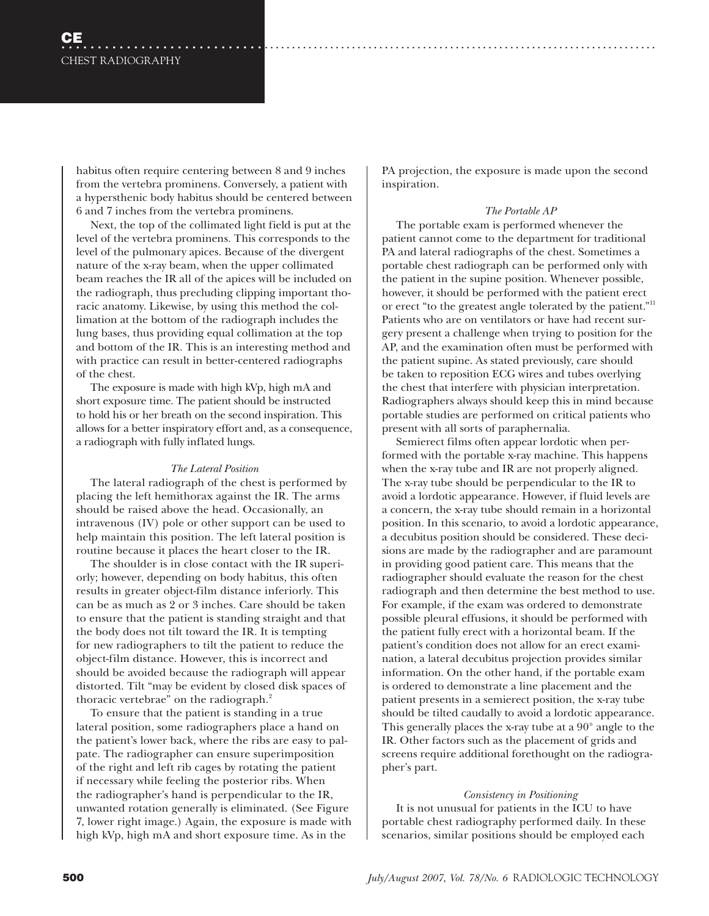habitus often require centering between 8 and 9 inches from the vertebra prominens. Conversely, a patient with a hypersthenic body habitus should be centered between 6 and 7 inches from the vertebra prominens.

Next, the top of the collimated light field is put at the level of the vertebra prominens. This corresponds to the level of the pulmonary apices. Because of the divergent nature of the x-ray beam, when the upper collimated beam reaches the IR all of the apices will be included on the radiograph, thus precluding clipping important thoracic anatomy. Likewise, by using this method the collimation at the bottom of the radiograph includes the lung bases, thus providing equal collimation at the top and bottom of the IR. This is an interesting method and with practice can result in better-centered radiographs of the chest.

The exposure is made with high kVp, high mA and short exposure time. The patient should be instructed to hold his or her breath on the second inspiration. This allows for a better inspiratory effort and, as a consequence, a radiograph with fully inflated lungs.

## *The Lateral Position*

The lateral radiograph of the chest is performed by placing the left hemithorax against the IR. The arms should be raised above the head. Occasionally, an intravenous (IV) pole or other support can be used to help maintain this position. The left lateral position is routine because it places the heart closer to the IR.

The shoulder is in close contact with the IR superiorly; however, depending on body habitus, this often results in greater object-film distance inferiorly. This can be as much as 2 or 3 inches. Care should be taken to ensure that the patient is standing straight and that the body does not tilt toward the IR. It is tempting for new radiographers to tilt the patient to reduce the object-film distance. However, this is incorrect and should be avoided because the radiograph will appear distorted. Tilt "may be evident by closed disk spaces of thoracic vertebrae" on the radiograph.<sup>2</sup>

To ensure that the patient is standing in a true lateral position, some radiographers place a hand on the patient's lower back, where the ribs are easy to palpate. The radiographer can ensure superimposition of the right and left rib cages by rotating the patient if necessary while feeling the posterior ribs. When the radiographer's hand is perpendicular to the IR, unwanted rotation generally is eliminated. (See Figure 7, lower right image.) Again, the exposure is made with high kVp, high mA and short exposure time. As in the

PA projection, the exposure is made upon the second inspiration.

## *The Portable AP*

The portable exam is performed whenever the patient cannot come to the department for traditional PA and lateral radiographs of the chest. Sometimes a portable chest radiograph can be performed only with the patient in the supine position. Whenever possible, however, it should be performed with the patient erect or erect "to the greatest angle tolerated by the patient."11 Patients who are on ventilators or have had recent surgery present a challenge when trying to position for the AP, and the examination often must be performed with the patient supine. As stated previously, care should be taken to reposition ECG wires and tubes overlying the chest that interfere with physician interpretation. Radiographers always should keep this in mind because portable studies are performed on critical patients who present with all sorts of paraphernalia.

Semierect films often appear lordotic when performed with the portable x-ray machine. This happens when the x-ray tube and IR are not properly aligned. The x-ray tube should be perpendicular to the IR to avoid a lordotic appearance. However, if fluid levels are a concern, the x-ray tube should remain in a horizontal position. In this scenario, to avoid a lordotic appearance, a decubitus position should be considered. These decisions are made by the radiographer and are paramount in providing good patient care. This means that the radiographer should evaluate the reason for the chest radiograph and then determine the best method to use. For example, if the exam was ordered to demonstrate possible pleural effusions, it should be performed with the patient fully erect with a horizontal beam. If the patient's condition does not allow for an erect examination, a lateral decubitus projection provides similar information. On the other hand, if the portable exam is ordered to demonstrate a line placement and the patient presents in a semierect position, the x-ray tube should be tilted caudally to avoid a lordotic appearance. This generally places the x-ray tube at a 90° angle to the IR. Other factors such as the placement of grids and screens require additional forethought on the radiographer's part.

## *Consistency in Positioning*

It is not unusual for patients in the ICU to have portable chest radiography performed daily. In these scenarios, similar positions should be employed each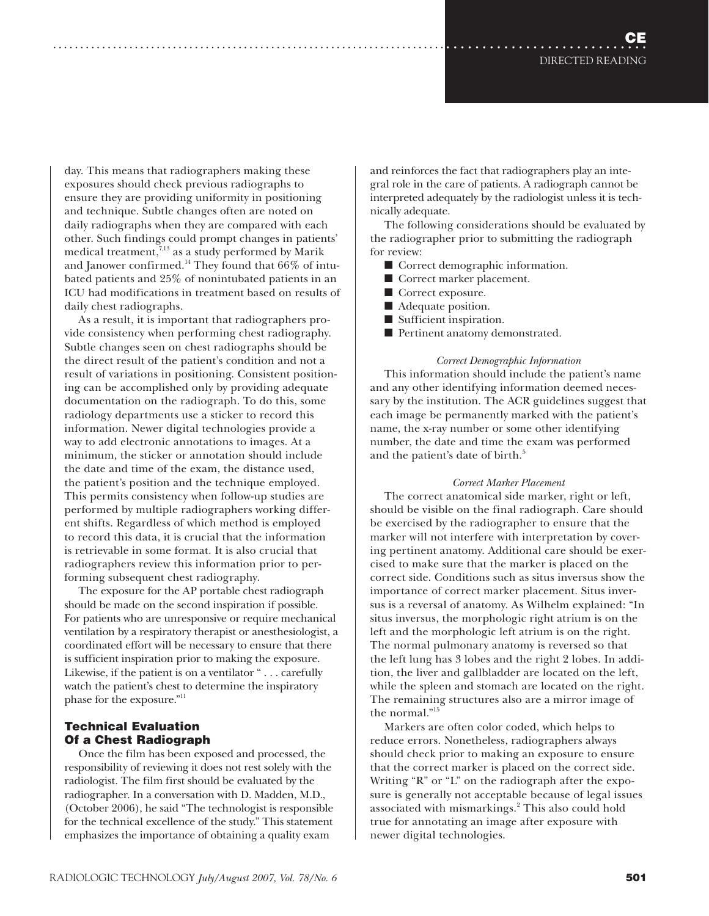day. This means that radiographers making these exposures should check previous radiographs to ensure they are providing uniformity in positioning and technique. Subtle changes often are noted on daily radiographs when they are compared with each other. Such findings could prompt changes in patients' medical treatment, $\frac{7}{13}$  as a study performed by Marik and Janower confirmed.<sup>14</sup> They found that  $66\%$  of intubated patients and 25% of nonintubated patients in an ICU had modifications in treatment based on results of daily chest radiographs.

As a result, it is important that radiographers provide consistency when performing chest radiography. Subtle changes seen on chest radiographs should be the direct result of the patient's condition and not a result of variations in positioning. Consistent positioning can be accomplished only by providing adequate documentation on the radiograph. To do this, some radiology departments use a sticker to record this information. Newer digital technologies provide a way to add electronic annotations to images. At a minimum, the sticker or annotation should include the date and time of the exam, the distance used, the patient's position and the technique employed. This permits consistency when follow-up studies are performed by multiple radiographers working different shifts. Regardless of which method is employed to record this data, it is crucial that the information is retrievable in some format. It is also crucial that radiographers review this information prior to performing subsequent chest radiography.

The exposure for the AP portable chest radiograph should be made on the second inspiration if possible. For patients who are unresponsive or require mechanical ventilation by a respiratory therapist or anesthesiologist, a coordinated effort will be necessary to ensure that there is sufficient inspiration prior to making the exposure. Likewise, if the patient is on a ventilator " . . . carefully watch the patient's chest to determine the inspiratory phase for the exposure."<sup>11</sup>

## **Technical Evaluation Of a Chest Radiograph**

Once the film has been exposed and processed, the responsibility of reviewing it does not rest solely with the radiologist. The film first should be evaluated by the radiographer. In a conversation with D. Madden, M.D., (October 2006), he said "The technologist is responsible for the technical excellence of the study." This statement emphasizes the importance of obtaining a quality exam

and reinforces the fact that radiographers play an integral role in the care of patients. A radiograph cannot be interpreted adequately by the radiologist unless it is technically adequate.

The following considerations should be evaluated by the radiographer prior to submitting the radiograph for review:

- Correct demographic information.
- Correct marker placement.
- Correct exposure.
- Adequate position.
- Sufficient inspiration.
- Pertinent anatomy demonstrated.

## *Correct Demographic Information*

This information should include the patient's name and any other identifying information deemed necessary by the institution. The ACR guidelines suggest that each image be permanently marked with the patient's name, the x-ray number or some other identifying number, the date and time the exam was performed and the patient's date of birth.<sup>5</sup>

## *Correct Marker Placement*

The correct anatomical side marker, right or left, should be visible on the final radiograph. Care should be exercised by the radiographer to ensure that the marker will not interfere with interpretation by covering pertinent anatomy. Additional care should be exercised to make sure that the marker is placed on the correct side. Conditions such as situs inversus show the importance of correct marker placement. Situs inversus is a reversal of anatomy. As Wilhelm explained: "In situs inversus, the morphologic right atrium is on the left and the morphologic left atrium is on the right. The normal pulmonary anatomy is reversed so that the left lung has 3 lobes and the right 2 lobes. In addition, the liver and gallbladder are located on the left, while the spleen and stomach are located on the right. The remaining structures also are a mirror image of the normal."15

Markers are often color coded, which helps to reduce errors. Nonetheless, radiographers always should check prior to making an exposure to ensure that the correct marker is placed on the correct side. Writing "R" or "L" on the radiograph after the exposure is generally not acceptable because of legal issues associated with mismarkings.<sup>2</sup> This also could hold true for annotating an image after exposure with newer digital technologies.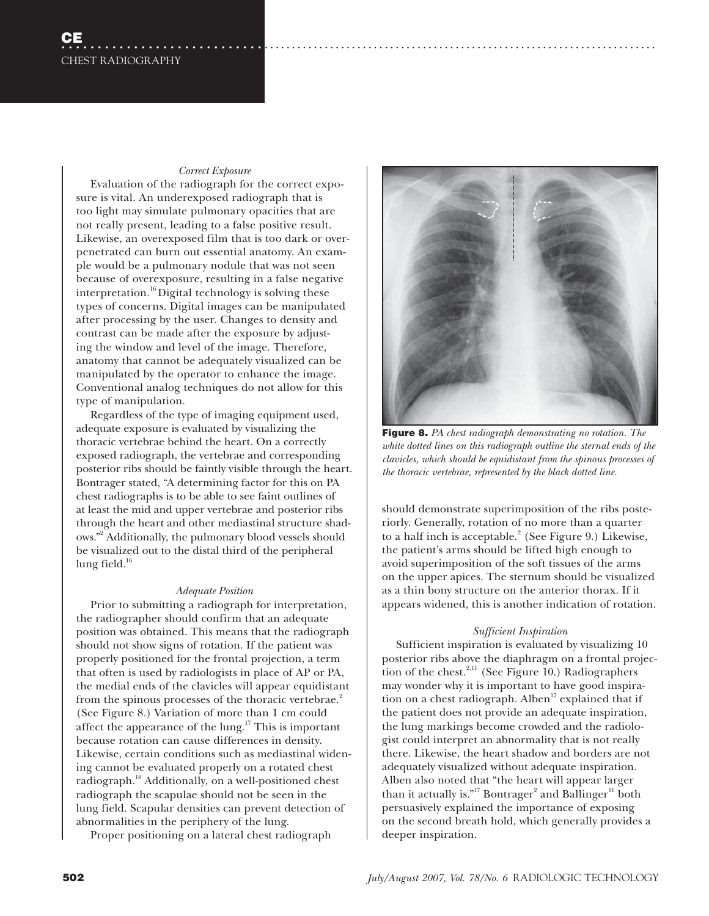#### *Correct Exposure*

Evaluation of the radiograph for the correct exposure is vital. An underexposed radiograph that is too light may simulate pulmonary opacities that are not really present, leading to a false positive result. Likewise, an overexposed film that is too dark or overpenetrated can burn out essential anatomy. An example would be a pulmonary nodule that was not seen because of overexposure, resulting in a false negative interpretation.<sup>16</sup> Digital technology is solving these types of concerns. Digital images can be manipulated after processing by the user. Changes to density and contrast can be made after the exposure by adjusting the window and level of the image. Therefore, anatomy that cannot be adequately visualized can be manipulated by the operator to enhance the image. Conventional analog techniques do not allow for this type of manipulation.

Regardless of the type of imaging equipment used, adequate exposure is evaluated by visualizing the thoracic vertebrae behind the heart. On a correctly exposed radiograph, the vertebrae and corresponding posterior ribs should be faintly visible through the heart. Bontrager stated, "A determining factor for this on PA chest radiographs is to be able to see faint outlines of at least the mid and upper vertebrae and posterior ribs through the heart and other mediastinal structure shadows."2 Additionally, the pulmonary blood vessels should be visualized out to the distal third of the peripheral lung field. $16$ 

#### *Adequate Position*

Prior to submitting a radiograph for interpretation, the radiographer should confirm that an adequate position was obtained. This means that the radiograph should not show signs of rotation. If the patient was properly positioned for the frontal projection, a term that often is used by radiologists in place of AP or PA, the medial ends of the clavicles will appear equidistant from the spinous processes of the thoracic vertebrae.<sup>2</sup> (See Figure 8.) Variation of more than 1 cm could affect the appearance of the lung.<sup>17</sup> This is important because rotation can cause differences in density. Likewise, certain conditions such as mediastinal widening cannot be evaluated properly on a rotated chest radiograph.18 Additionally, on a well-positioned chest radiograph the scapulae should not be seen in the lung field. Scapular densities can prevent detection of abnormalities in the periphery of the lung.

Proper positioning on a lateral chest radiograph



**Figure 8.** *PA chest radiograph demonstrating no rotation. The white dotted lines on this radiograph outline the sternal ends of the clavicles, which should be equidistant from the spinous processes of the thoracic vertebrae, represented by the black dotted line.* 

should demonstrate superimposition of the ribs posteriorly. Generally, rotation of no more than a quarter to a half inch is acceptable.<sup>2</sup> (See Figure 9.) Likewise, the patient's arms should be lifted high enough to avoid superimposition of the soft tissues of the arms on the upper apices. The sternum should be visualized as a thin bony structure on the anterior thorax. If it appears widened, this is another indication of rotation.

#### *Sufficient Inspiration*

Sufficient inspiration is evaluated by visualizing 10 posterior ribs above the diaphragm on a frontal projection of the chest. $^{2,11}$  (See Figure 10.) Radiographers may wonder why it is important to have good inspiration on a chest radiograph. Alben<sup>17</sup> explained that if the patient does not provide an adequate inspiration, the lung markings become crowded and the radiologist could interpret an abnormality that is not really there. Likewise, the heart shadow and borders are not adequately visualized without adequate inspiration. Alben also noted that "the heart will appear larger than it actually is."<sup>17</sup> Bontrager<sup>2</sup> and Ballinger<sup>11</sup> both persuasively explained the importance of exposing on the second breath hold, which generally provides a deeper inspiration.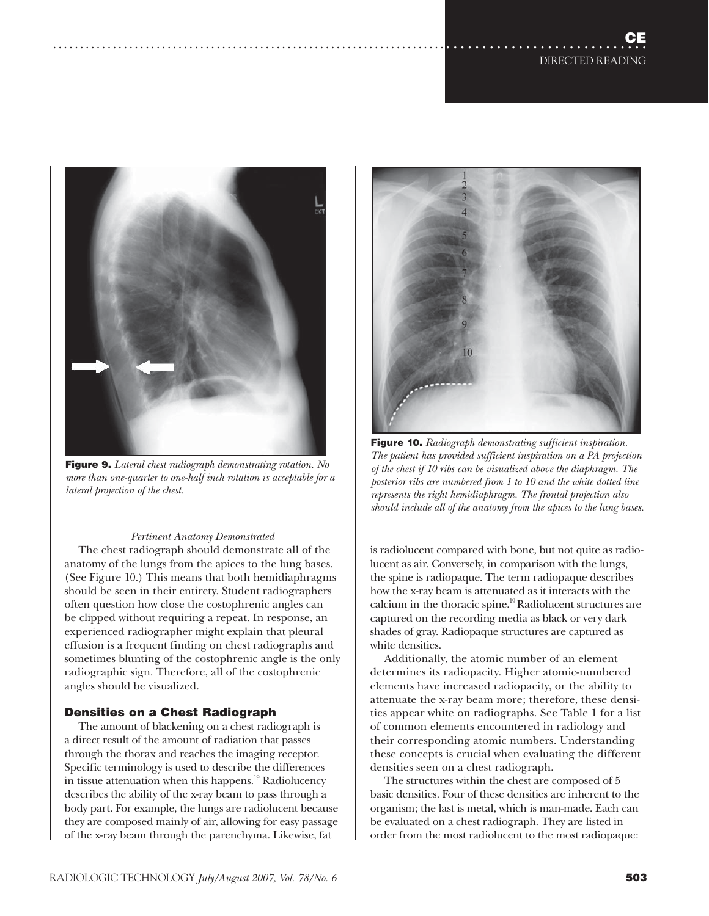

**Figure 9.** *Lateral chest radiograph demonstrating rotation. No more than one-quarter to one-half inch rotation is acceptable for a lateral projection of the chest.*

## *Pertinent Anatomy Demonstrated*

The chest radiograph should demonstrate all of the anatomy of the lungs from the apices to the lung bases. (See Figure 10.) This means that both hemidiaphragms should be seen in their entirety. Student radiographers often question how close the costophrenic angles can be clipped without requiring a repeat. In response, an experienced radiographer might explain that pleural effusion is a frequent finding on chest radiographs and sometimes blunting of the costophrenic angle is the only radiographic sign. Therefore, all of the costophrenic angles should be visualized.

## **Densities on a Chest Radiograph**

The amount of blackening on a chest radiograph is a direct result of the amount of radiation that passes through the thorax and reaches the imaging receptor. Specific terminology is used to describe the differences in tissue attenuation when this happens.<sup>19</sup> Radiolucency describes the ability of the x-ray beam to pass through a body part. For example, the lungs are radiolucent because they are composed mainly of air, allowing for easy passage of the x-ray beam through the parenchyma. Likewise, fat



**Figure 10.** *Radiograph demonstrating sufficient inspiration. The patient has provided sufficient inspiration on a PA projection of the chest if 10 ribs can be visualized above the diaphragm. The posterior ribs are numbered from 1 to 10 and the white dotted line represents the right hemidiaphragm. The frontal projection also should include all of the anatomy from the apices to the lung bases.*

is radiolucent compared with bone, but not quite as radiolucent as air. Conversely, in comparison with the lungs, the spine is radiopaque. The term radiopaque describes how the x-ray beam is attenuated as it interacts with the calcium in the thoracic spine.<sup>19</sup> Radiolucent structures are captured on the recording media as black or very dark shades of gray. Radiopaque structures are captured as white densities.

Additionally, the atomic number of an element determines its radiopacity. Higher atomic-numbered elements have increased radiopacity, or the ability to attenuate the x-ray beam more; therefore, these densities appear white on radiographs. See Table 1 for a list of common elements encountered in radiology and their corresponding atomic numbers. Understanding these concepts is crucial when evaluating the different densities seen on a chest radiograph.

The structures within the chest are composed of 5 basic densities. Four of these densities are inherent to the organism; the last is metal, which is man-made. Each can be evaluated on a chest radiograph. They are listed in order from the most radiolucent to the most radiopaque: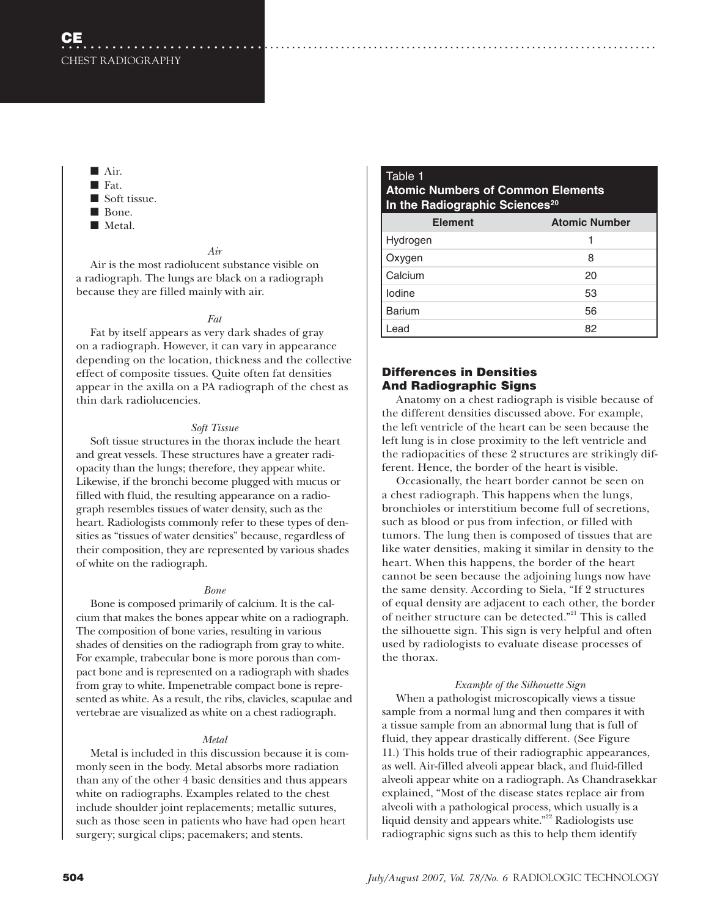■ Air. ■ Fat. ■ Soft tissue. ■ Bone. ■ Metal.

#### *Air*

Air is the most radiolucent substance visible on a radiograph. The lungs are black on a radiograph because they are filled mainly with air.

### *Fat*

Fat by itself appears as very dark shades of gray on a radiograph. However, it can vary in appearance depending on the location, thickness and the collective effect of composite tissues. Quite often fat densities appear in the axilla on a PA radiograph of the chest as thin dark radiolucencies.

### *Soft Tissue*

Soft tissue structures in the thorax include the heart and great vessels. These structures have a greater radiopacity than the lungs; therefore, they appear white. Likewise, if the bronchi become plugged with mucus or filled with fluid, the resulting appearance on a radiograph resembles tissues of water density, such as the heart. Radiologists commonly refer to these types of densities as "tissues of water densities" because, regardless of their composition, they are represented by various shades of white on the radiograph.

#### *Bone*

Bone is composed primarily of calcium. It is the calcium that makes the bones appear white on a radiograph. The composition of bone varies, resulting in various shades of densities on the radiograph from gray to white. For example, trabecular bone is more porous than compact bone and is represented on a radiograph with shades from gray to white. Impenetrable compact bone is represented as white. As a result, the ribs, clavicles, scapulae and vertebrae are visualized as white on a chest radiograph.

## *Metal*

Metal is included in this discussion because it is commonly seen in the body. Metal absorbs more radiation than any of the other 4 basic densities and thus appears white on radiographs. Examples related to the chest include shoulder joint replacements; metallic sutures, such as those seen in patients who have had open heart surgery; surgical clips; pacemakers; and stents.

## Table 1 **Atomic Numbers of Common Elements In the Radiographic Sciences<sup>20</sup>**

| <b>Element</b>     | <b>Atomic Number</b> |
|--------------------|----------------------|
|                    |                      |
| Hydrogen<br>Oxygen | 8                    |
| Calcium            | 20                   |
| lodine             | 53                   |
| <b>Barium</b>      | 56                   |
| .ead               | 82                   |

## **Differences in Densities And Radiographic Signs**

Anatomy on a chest radiograph is visible because of the different densities discussed above. For example, the left ventricle of the heart can be seen because the left lung is in close proximity to the left ventricle and the radiopacities of these 2 structures are strikingly different. Hence, the border of the heart is visible.

Occasionally, the heart border cannot be seen on a chest radiograph. This happens when the lungs, bronchioles or interstitium become full of secretions, such as blood or pus from infection, or filled with tumors. The lung then is composed of tissues that are like water densities, making it similar in density to the heart. When this happens, the border of the heart cannot be seen because the adjoining lungs now have the same density. According to Siela, "If 2 structures of equal density are adjacent to each other, the border of neither structure can be detected."21 This is called the silhouette sign. This sign is very helpful and often used by radiologists to evaluate disease processes of the thorax.

## *Example of the Silhouette Sign*

When a pathologist microscopically views a tissue sample from a normal lung and then compares it with a tissue sample from an abnormal lung that is full of fluid, they appear drastically different. (See Figure 11.) This holds true of their radiographic appearances, as well. Air-filled alveoli appear black, and fluid-filled alveoli appear white on a radiograph. As Chandrasekkar explained, "Most of the disease states replace air from alveoli with a pathological process, which usually is a liquid density and appears white."<sup>22</sup> Radiologists use radiographic signs such as this to help them identify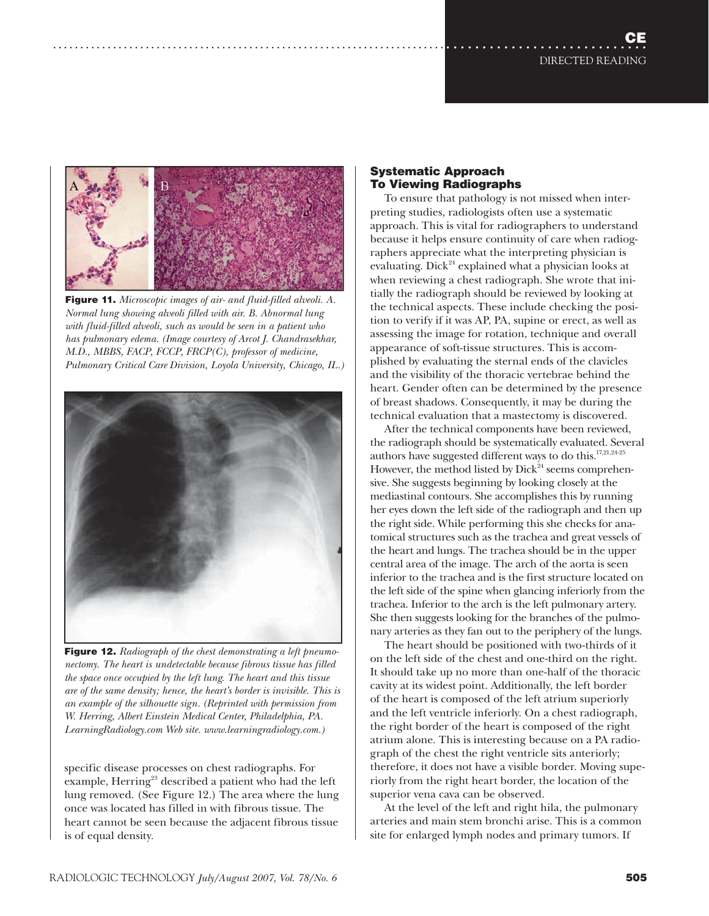**CE** DIRECTED READING ....................................................................................................



**Figure 11.** *Microscopic images of air- and fluid-filled alveoli. A. Normal lung showing alveoli filled with air. B. Abnormal lung with fluid-filled alveoli, such as would be seen in a patient who has pulmonary edema. (Image courtesy of Arcot J. Chandrasekhar, M.D., MBBS, FACP, FCCP, FRCP(C), professor of medicine, Pulmonary Critical Care Division, Loyola University, Chicago, IL.)*



**Figure 12.** *Radiograph of the chest demonstrating a left pneumonectomy. The heart is undetectable because fibrous tissue has filled the space once occupied by the left lung. The heart and this tissue are of the same density; hence, the heart's border is invisible. This is an example of the silhouette sign. (Reprinted with permission from W. Herring, Albert Einstein Medical Center, Philadelphia, PA. LearningRadiology.com Web site. www.learningradiology.com.)*

specific disease processes on chest radiographs. For example, Herring<sup>23</sup> described a patient who had the left lung removed. (See Figure 12.) The area where the lung once was located has filled in with fibrous tissue. The heart cannot be seen because the adjacent fibrous tissue is of equal density.

## **Systematic Approach To Viewing Radiographs**

To ensure that pathology is not missed when interpreting studies, radiologists often use a systematic approach. This is vital for radiographers to understand because it helps ensure continuity of care when radiographers appreciate what the interpreting physician is evaluating. Dick<sup>24</sup> explained what a physician looks at when reviewing a chest radiograph. She wrote that initially the radiograph should be reviewed by looking at the technical aspects. These include checking the position to verify if it was AP, PA, supine or erect, as well as assessing the image for rotation, technique and overall appearance of soft-tissue structures. This is accomplished by evaluating the sternal ends of the clavicles and the visibility of the thoracic vertebrae behind the heart. Gender often can be determined by the presence of breast shadows. Consequently, it may be during the technical evaluation that a mastectomy is discovered.

After the technical components have been reviewed, the radiograph should be systematically evaluated. Several authors have suggested different ways to do this.17,21,24-25 However, the method listed by  $Dick^{24}$  seems comprehensive. She suggests beginning by looking closely at the mediastinal contours. She accomplishes this by running her eyes down the left side of the radiograph and then up the right side. While performing this she checks for anatomical structures such as the trachea and great vessels of the heart and lungs. The trachea should be in the upper central area of the image. The arch of the aorta is seen inferior to the trachea and is the first structure located on the left side of the spine when glancing inferiorly from the trachea. Inferior to the arch is the left pulmonary artery. She then suggests looking for the branches of the pulmonary arteries as they fan out to the periphery of the lungs.

The heart should be positioned with two-thirds of it on the left side of the chest and one-third on the right. It should take up no more than one-half of the thoracic cavity at its widest point. Additionally, the left border of the heart is composed of the left atrium superiorly and the left ventricle inferiorly. On a chest radiograph, the right border of the heart is composed of the right atrium alone. This is interesting because on a PA radiograph of the chest the right ventricle sits anteriorly; therefore, it does not have a visible border. Moving superiorly from the right heart border, the location of the superior vena cava can be observed.

At the level of the left and right hila, the pulmonary arteries and main stem bronchi arise. This is a common site for enlarged lymph nodes and primary tumors. If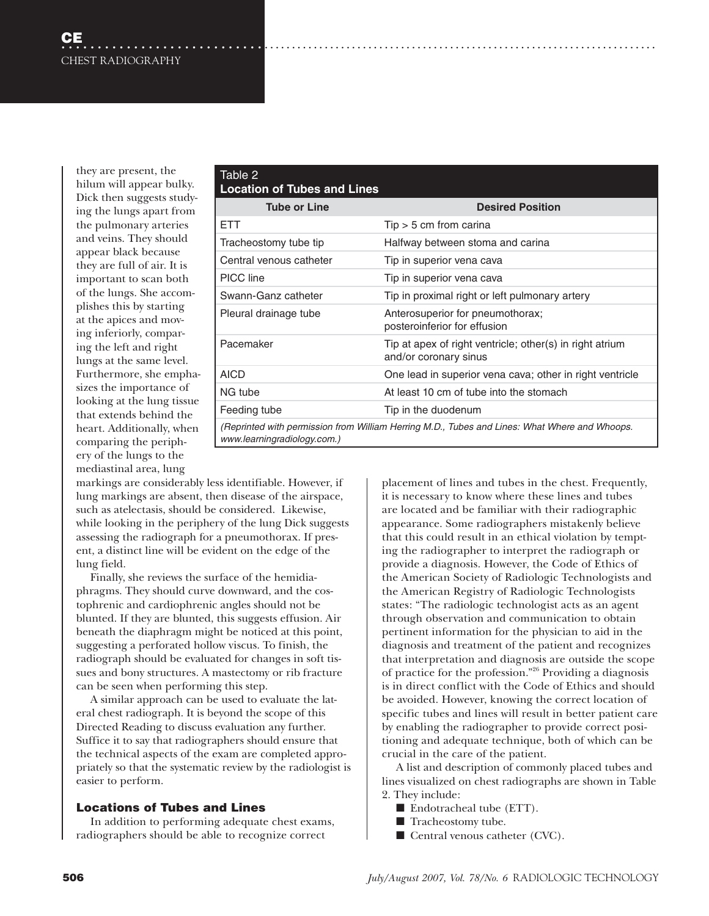they are present, the hilum will appear bulky. Dick then suggests studying the lungs apart from the pulmonary arteries and veins. They should appear black because they are full of air. It is important to scan both of the lungs. She accomplishes this by starting at the apices and moving inferiorly, comparing the left and right lungs at the same level. Furthermore, she emphasizes the importance of looking at the lung tissue that extends behind the heart. Additionally, when comparing the periphery of the lungs to the mediastinal area, lung

| Table 2<br><b>Location of Tubes and Lines</b>                                                                                |                                                                                   |
|------------------------------------------------------------------------------------------------------------------------------|-----------------------------------------------------------------------------------|
| <b>Tube or Line</b>                                                                                                          | <b>Desired Position</b>                                                           |
| <b>ETT</b>                                                                                                                   | $Tip > 5$ cm from carina                                                          |
| Tracheostomy tube tip                                                                                                        | Halfway between stoma and carina                                                  |
| Central venous catheter                                                                                                      | Tip in superior vena cava                                                         |
| PICC line                                                                                                                    | Tip in superior vena cava                                                         |
| Swann-Ganz catheter                                                                                                          | Tip in proximal right or left pulmonary artery                                    |
| Pleural drainage tube                                                                                                        | Anterosuperior for pneumothorax;<br>posteroinferior for effusion                  |
| Pacemaker                                                                                                                    | Tip at apex of right ventricle; other(s) in right atrium<br>and/or coronary sinus |
| <b>AICD</b>                                                                                                                  | One lead in superior vena cava; other in right ventricle                          |
| NG tube                                                                                                                      | At least 10 cm of tube into the stomach                                           |
| Feeding tube                                                                                                                 | Tip in the duodenum                                                               |
| (Reprinted with permission from William Herring M.D., Tubes and Lines: What Where and Whoops.<br>www.learningradiology.com.) |                                                                                   |

markings are considerably less identifiable. However, if lung markings are absent, then disease of the airspace, such as atelectasis, should be considered. Likewise, while looking in the periphery of the lung Dick suggests assessing the radiograph for a pneumothorax. If present, a distinct line will be evident on the edge of the lung field.

Finally, she reviews the surface of the hemidiaphragms. They should curve downward, and the costophrenic and cardiophrenic angles should not be blunted. If they are blunted, this suggests effusion. Air beneath the diaphragm might be noticed at this point, suggesting a perforated hollow viscus. To finish, the radiograph should be evaluated for changes in soft tissues and bony structures. A mastectomy or rib fracture can be seen when performing this step.

A similar approach can be used to evaluate the lateral chest radiograph. It is beyond the scope of this Directed Reading to discuss evaluation any further. Suffice it to say that radiographers should ensure that the technical aspects of the exam are completed appropriately so that the systematic review by the radiologist is easier to perform.

## **Locations of Tubes and Lines**

In addition to performing adequate chest exams, radiographers should be able to recognize correct

placement of lines and tubes in the chest. Frequently, it is necessary to know where these lines and tubes are located and be familiar with their radiographic appearance. Some radiographers mistakenly believe that this could result in an ethical violation by tempting the radiographer to interpret the radiograph or provide a diagnosis. However, the Code of Ethics of the American Society of Radiologic Technologists and the American Registry of Radiologic Technologists states: "The radiologic technologist acts as an agent through observation and communication to obtain pertinent information for the physician to aid in the diagnosis and treatment of the patient and recognizes that interpretation and diagnosis are outside the scope of practice for the profession."26 Providing a diagnosis is in direct conflict with the Code of Ethics and should be avoided. However, knowing the correct location of specific tubes and lines will result in better patient care by enabling the radiographer to provide correct positioning and adequate technique, both of which can be crucial in the care of the patient.

A list and description of commonly placed tubes and lines visualized on chest radiographs are shown in Table 2. They include:

- Endotracheal tube (ETT).
- Tracheostomy tube.
- Central venous catheter (CVC).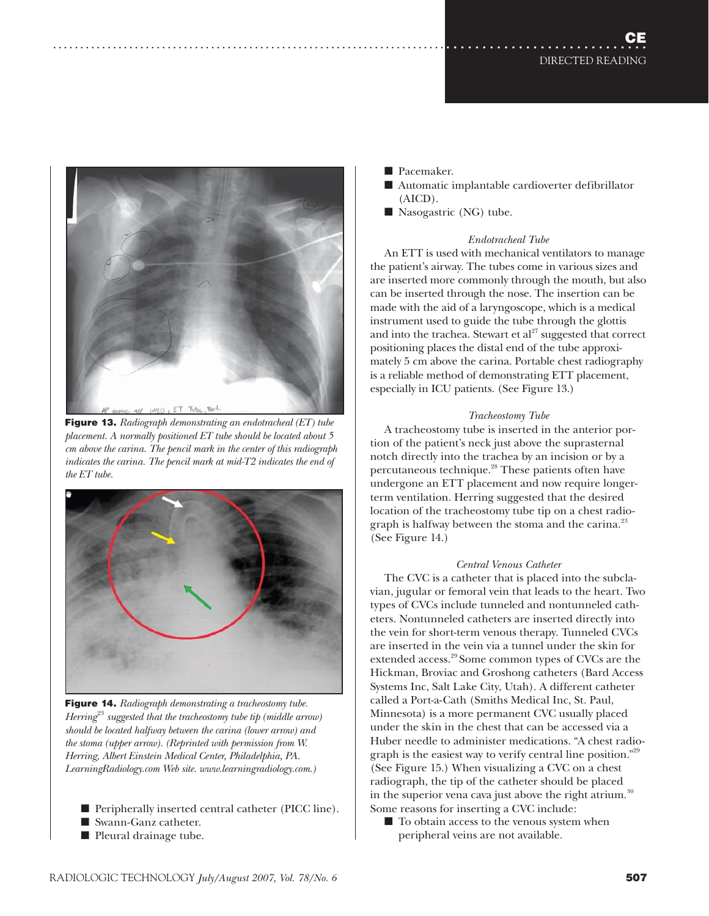

**Figure 13.** *Radiograph demonstrating an endotracheal (ET) tube placement. A normally positioned ET tube should be located about 5 cm above the carina. The pencil mark in the center of this radiograph*  indicates the carina. The pencil mark at mid-T2 indicates the end of *the ET tube.*



**Figure 14.** *Radiograph demonstrating a tracheostomy tube. Herring*<sup>23</sup> *suggested that the tracheostomy tube tip (middle arrow) should be located halfway between the carina (lower arrow) and the stoma (upper arrow). (Reprinted with permission from W. Herring, Albert Einstein Medical Center, Philadelphia, PA. LearningRadiology.com Web site. www.learningradiology.com.)*

- Peripherally inserted central catheter (PICC line).
- Swann-Ganz catheter.
- Pleural drainage tube.
- Pacemaker.
- Automatic implantable cardioverter defibrillator (AICD).
- Nasogastric (NG) tube.

## *Endotracheal Tube*

An ETT is used with mechanical ventilators to manage the patient's airway. The tubes come in various sizes and are inserted more commonly through the mouth, but also can be inserted through the nose. The insertion can be made with the aid of a laryngoscope, which is a medical instrument used to guide the tube through the glottis and into the trachea. Stewart et  $al^{27}$  suggested that correct positioning places the distal end of the tube approximately 5 cm above the carina. Portable chest radiography is a reliable method of demonstrating ETT placement, especially in ICU patients. (See Figure 13.)

## *Tracheostomy Tube*

A tracheostomy tube is inserted in the anterior portion of the patient's neck just above the suprasternal notch directly into the trachea by an incision or by a percutaneous technique.28 These patients often have undergone an ETT placement and now require longerterm ventilation. Herring suggested that the desired location of the tracheostomy tube tip on a chest radiograph is halfway between the stoma and the carina.<sup>23</sup> (See Figure 14.)

## *Central Venous Catheter*

The CVC is a catheter that is placed into the subclavian, jugular or femoral vein that leads to the heart. Two types of CVCs include tunneled and nontunneled catheters. Nontunneled catheters are inserted directly into the vein for short-term venous therapy. Tunneled CVCs are inserted in the vein via a tunnel under the skin for extended access.<sup>29</sup> Some common types of CVCs are the Hickman, Broviac and Groshong catheters (Bard Access Systems Inc, Salt Lake City, Utah). A different catheter called a Port-a-Cath (Smiths Medical Inc, St. Paul, Minnesota) is a more permanent CVC usually placed under the skin in the chest that can be accessed via a Huber needle to administer medications. "A chest radiograph is the easiest way to verify central line position."29 (See Figure 15.) When visualizing a CVC on a chest radiograph, the tip of the catheter should be placed in the superior vena cava just above the right atrium. $30$ Some reasons for inserting a CVC include:

■ To obtain access to the venous system when peripheral veins are not available.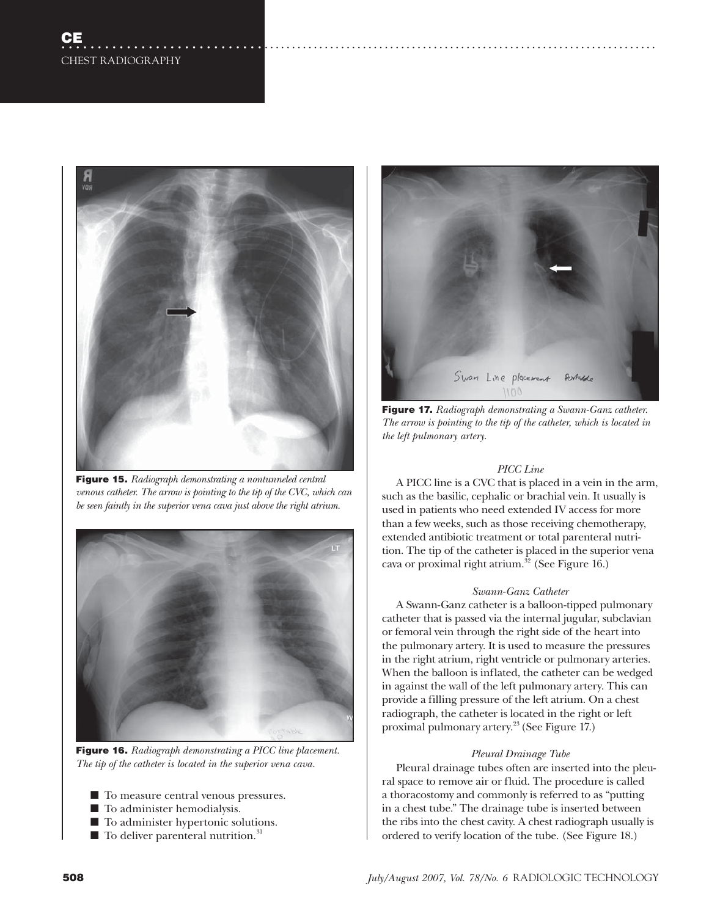

**Figure 15.** *Radiograph demonstrating a nontunneled central venous catheter. The arrow is pointing to the tip of the CVC, which can be seen faintly in the superior vena cava just above the right atrium.*



**Figure 16.** *Radiograph demonstrating a PICC line placement. The tip of the catheter is located in the superior vena cava.*

- To measure central venous pressures.
- To administer hemodialysis.
- To administer hypertonic solutions.
- $\blacksquare$  To deliver parenteral nutrition.<sup>31</sup>



**Figure 17.** *Radiograph demonstrating a Swann-Ganz catheter. The arrow is pointing to the tip of the catheter, which is located in the left pulmonary artery.*

## *PICC Line*

A PICC line is a CVC that is placed in a vein in the arm, such as the basilic, cephalic or brachial vein. It usually is used in patients who need extended IV access for more than a few weeks, such as those receiving chemotherapy, extended antibiotic treatment or total parenteral nutrition. The tip of the catheter is placed in the superior vena cava or proximal right atrium.<sup>32</sup> (See Figure 16.)

## *Swann-Ganz Catheter*

A Swann-Ganz catheter is a balloon-tipped pulmonary catheter that is passed via the internal jugular, subclavian or femoral vein through the right side of the heart into the pulmonary artery. It is used to measure the pressures in the right atrium, right ventricle or pulmonary arteries. When the balloon is inflated, the catheter can be wedged in against the wall of the left pulmonary artery. This can provide a filling pressure of the left atrium. On a chest radiograph, the catheter is located in the right or left proximal pulmonary artery.<sup>23</sup> (See Figure 17.)

## *Pleural Drainage Tube*

Pleural drainage tubes often are inserted into the pleural space to remove air or fluid. The procedure is called a thoracostomy and commonly is referred to as "putting in a chest tube." The drainage tube is inserted between the ribs into the chest cavity. A chest radiograph usually is ordered to verify location of the tube. (See Figure 18.)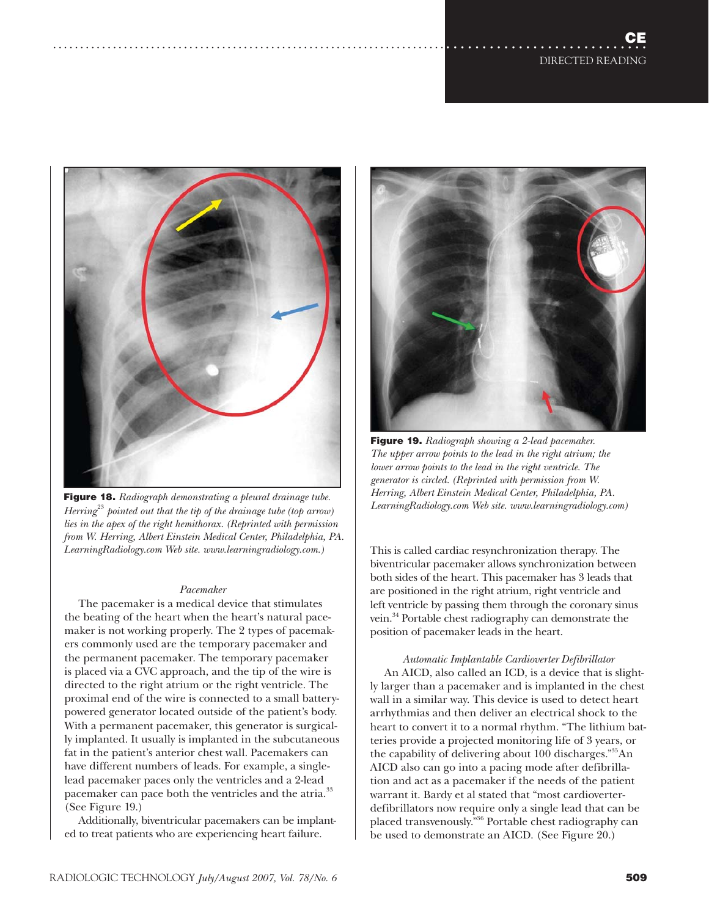

**Figure 18.** *Radiograph demonstrating a pleural drainage tube. Herring*<sup>23</sup> *pointed out that the tip of the drainage tube (top arrow) lies in the apex of the right hemithorax. (Reprinted with permission from W. Herring, Albert Einstein Medical Center, Philadelphia, PA. LearningRadiology.com Web site. www.learningradiology.com.)*

#### *Pacemaker*

The pacemaker is a medical device that stimulates the beating of the heart when the heart's natural pacemaker is not working properly. The 2 types of pacemakers commonly used are the temporary pacemaker and the permanent pacemaker. The temporary pacemaker is placed via a CVC approach, and the tip of the wire is directed to the right atrium or the right ventricle. The proximal end of the wire is connected to a small batterypowered generator located outside of the patient's body. With a permanent pacemaker, this generator is surgically implanted. It usually is implanted in the subcutaneous fat in the patient's anterior chest wall. Pacemakers can have different numbers of leads. For example, a singlelead pacemaker paces only the ventricles and a 2-lead pacemaker can pace both the ventricles and the atria.<sup>33</sup> (See Figure 19.)

Additionally, biventricular pacemakers can be implanted to treat patients who are experiencing heart failure.



**Figure 19.** *Radiograph showing a 2-lead pacemaker. The upper arrow points to the lead in the right atrium; the lower arrow points to the lead in the right ventricle. The generator is circled. (Reprinted with permission from W. Herring, Albert Einstein Medical Center, Philadelphia, PA. LearningRadiology.com Web site. www.learningradiology.com)*

This is called cardiac resynchronization therapy. The biventricular pacemaker allows synchronization between both sides of the heart. This pacemaker has 3 leads that are positioned in the right atrium, right ventricle and left ventricle by passing them through the coronary sinus vein.34 Portable chest radiography can demonstrate the position of pacemaker leads in the heart.

## *Automatic Implantable Cardioverter Defibrillator*

An AICD, also called an ICD, is a device that is slightly larger than a pacemaker and is implanted in the chest wall in a similar way. This device is used to detect heart arrhythmias and then deliver an electrical shock to the heart to convert it to a normal rhythm. "The lithium batteries provide a projected monitoring life of 3 years, or the capability of delivering about 100 discharges.<sup>"35</sup>An AICD also can go into a pacing mode after defibrillation and act as a pacemaker if the needs of the patient warrant it. Bardy et al stated that "most cardioverterdefibrillators now require only a single lead that can be placed transvenously."36 Portable chest radiography can be used to demonstrate an AICD. (See Figure 20.)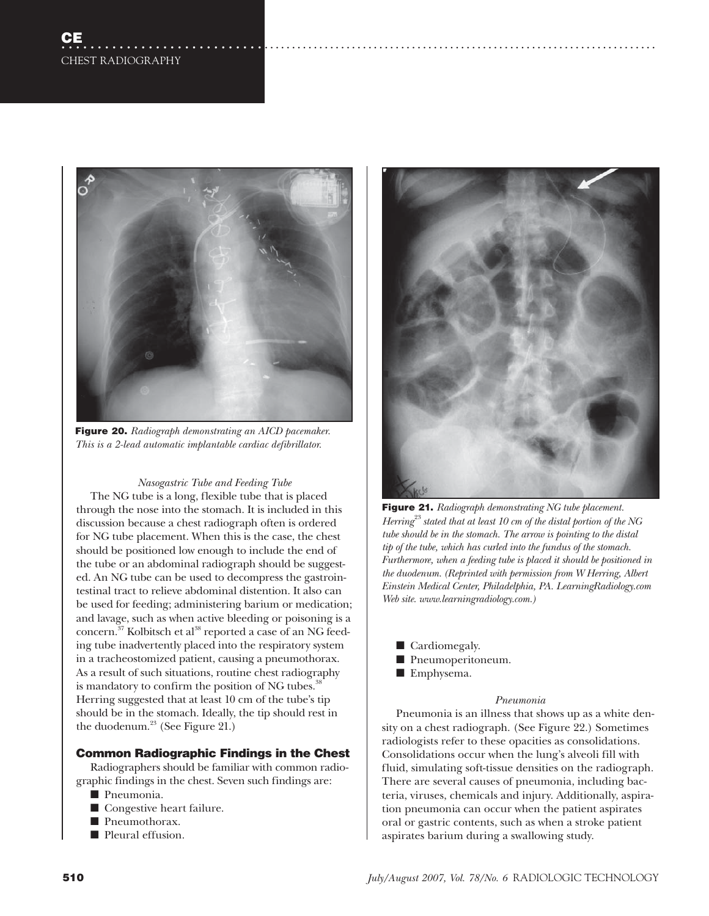

**Figure 20.** *Radiograph demonstrating an AICD pacemaker. This is a 2-lead automatic implantable cardiac defibrillator.* 

## *Nasogastric Tube and Feeding Tube*

The NG tube is a long, flexible tube that is placed through the nose into the stomach. It is included in this discussion because a chest radiograph often is ordered for NG tube placement. When this is the case, the chest should be positioned low enough to include the end of the tube or an abdominal radiograph should be suggested. An NG tube can be used to decompress the gastrointestinal tract to relieve abdominal distention. It also can be used for feeding; administering barium or medication; and lavage, such as when active bleeding or poisoning is a concern.<sup>37</sup> Kolbitsch et al<sup>38</sup> reported a case of an NG feeding tube inadvertently placed into the respiratory system in a tracheostomized patient, causing a pneumothorax. As a result of such situations, routine chest radiography is mandatory to confirm the position of NG tubes.<sup>3</sup> Herring suggested that at least 10 cm of the tube's tip should be in the stomach. Ideally, the tip should rest in the duodenum.<sup>23</sup> (See Figure 21.)

## **Common Radiographic Findings in the Chest**

Radiographers should be familiar with common radiographic findings in the chest. Seven such findings are:

- Pneumonia.
- Congestive heart failure.
- Pneumothorax.
- Pleural effusion.



**Figure 21.** *Radiograph demonstrating NG tube placement. Herring*<sup>23</sup>*stated that at least 10 cm of the distal portion of the NG tube should be in the stomach. The arrow is pointing to the distal tip of the tube, which has curled into the fundus of the stomach. Furthermore, when a feeding tube is placed it should be positioned in the duodenum. (Reprinted with permission from W Herring, Albert Einstein Medical Center, Philadelphia, PA. LearningRadiology.com Web site. www.learningradiology.com.)*

- Cardiomegaly.
- Pneumoperitoneum.
- Emphysema.

#### *Pneumonia*

Pneumonia is an illness that shows up as a white density on a chest radiograph. (See Figure 22.) Sometimes radiologists refer to these opacities as consolidations. Consolidations occur when the lung's alveoli fill with fluid, simulating soft-tissue densities on the radiograph. There are several causes of pneumonia, including bacteria, viruses, chemicals and injury. Additionally, aspiration pneumonia can occur when the patient aspirates oral or gastric contents, such as when a stroke patient aspirates barium during a swallowing study.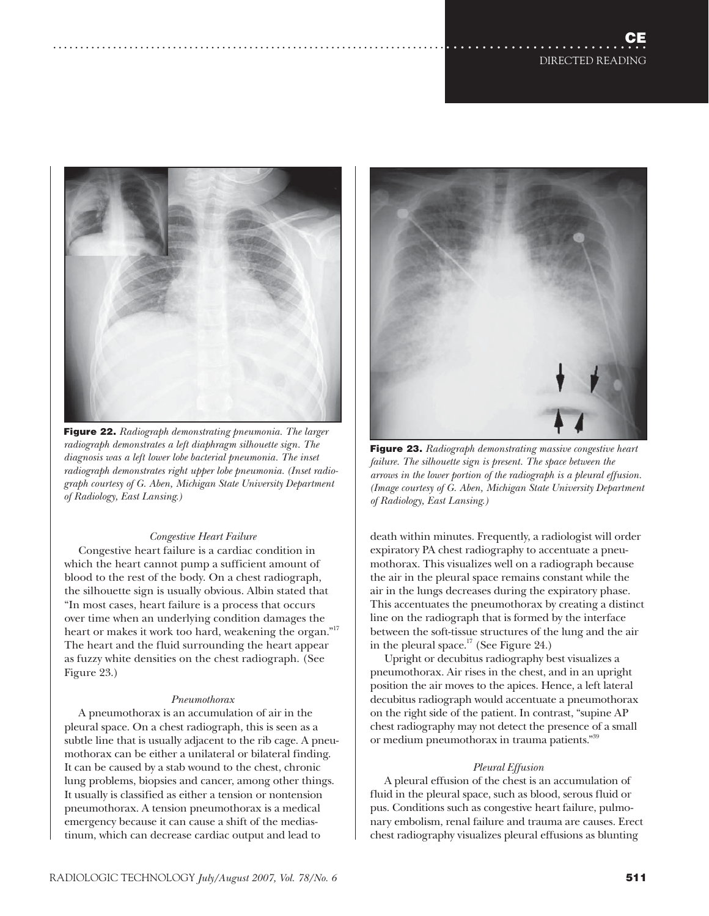

**Figure 22.** *Radiograph demonstrating pneumonia. The larger radiograph demonstrates a left diaphragm silhouette sign. The diagnosis was a left lower lobe bacterial pneumonia. The inset radiograph demonstrates right upper lobe pneumonia. (Inset radiograph courtesy of G. Aben, Michigan State University Department of Radiology, East Lansing.)* 

## *Congestive Heart Failure*

Congestive heart failure is a cardiac condition in which the heart cannot pump a sufficient amount of blood to the rest of the body. On a chest radiograph, the silhouette sign is usually obvious. Albin stated that "In most cases, heart failure is a process that occurs over time when an underlying condition damages the heart or makes it work too hard, weakening the organ."17 The heart and the fluid surrounding the heart appear as fuzzy white densities on the chest radiograph. (See Figure 23.)

## *Pneumothorax*

A pneumothorax is an accumulation of air in the pleural space. On a chest radiograph, this is seen as a subtle line that is usually adjacent to the rib cage. A pneumothorax can be either a unilateral or bilateral finding. It can be caused by a stab wound to the chest, chronic lung problems, biopsies and cancer, among other things. It usually is classified as either a tension or nontension pneumothorax. A tension pneumothorax is a medical emergency because it can cause a shift of the mediastinum, which can decrease cardiac output and lead to



**Figure 23.** *Radiograph demonstrating massive congestive heart failure. The silhouette sign is present. The space between the arrows in the lower portion of the radiograph is a pleural effusion. (Image courtesy of G. Aben, Michigan State University Department of Radiology, East Lansing.)* 

death within minutes. Frequently, a radiologist will order expiratory PA chest radiography to accentuate a pneumothorax. This visualizes well on a radiograph because the air in the pleural space remains constant while the air in the lungs decreases during the expiratory phase. This accentuates the pneumothorax by creating a distinct line on the radiograph that is formed by the interface between the soft-tissue structures of the lung and the air in the pleural space.<sup>17</sup> (See Figure 24.)

Upright or decubitus radiography best visualizes a pneumothorax. Air rises in the chest, and in an upright position the air moves to the apices. Hence, a left lateral decubitus radiograph would accentuate a pneumothorax on the right side of the patient. In contrast, "supine AP chest radiography may not detect the presence of a small or medium pneumothorax in trauma patients."39

## *Pleural Effusion*

A pleural effusion of the chest is an accumulation of fluid in the pleural space, such as blood, serous fluid or pus. Conditions such as congestive heart failure, pulmonary embolism, renal failure and trauma are causes. Erect chest radiography visualizes pleural effusions as blunting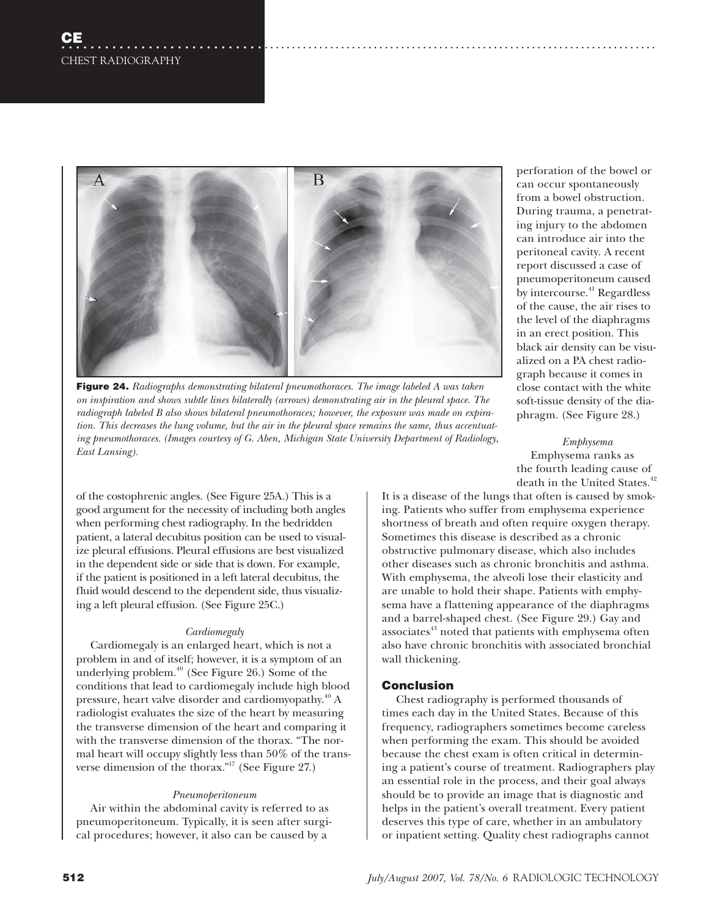

**Figure 24.** *Radiographs demonstrating bilateral pneumothoraces. The image labeled A was taken on inspiration and shows subtle lines bilaterally (arrows) demonstrating air in the pleural space. The radiograph labeled B also shows bilateral pneumothoraces; however, the exposure was made on expiration. This decreases the lung volume, but the air in the pleural space remains the same, thus accentuating pneumothoraces. (Images courtesy of G. Aben, Michigan State University Department of Radiology, East Lansing).* 

of the costophrenic angles. (See Figure 25A.) This is a good argument for the necessity of including both angles when performing chest radiography. In the bedridden patient, a lateral decubitus position can be used to visualize pleural effusions. Pleural effusions are best visualized in the dependent side or side that is down. For example, if the patient is positioned in a left lateral decubitus, the fluid would descend to the dependent side, thus visualizing a left pleural effusion. (See Figure 25C.)

#### *Cardiomegaly*

Cardiomegaly is an enlarged heart, which is not a problem in and of itself; however, it is a symptom of an underlying problem. $40$  (See Figure 26.) Some of the conditions that lead to cardiomegaly include high blood pressure, heart valve disorder and cardiomyopathy.40 A radiologist evaluates the size of the heart by measuring the transverse dimension of the heart and comparing it with the transverse dimension of the thorax. "The normal heart will occupy slightly less than 50% of the transverse dimension of the thorax."<sup>17</sup> (See Figure 27.)

## *Pneumoperitoneum*

Air within the abdominal cavity is referred to as pneumoperitoneum. Typically, it is seen after surgical procedures; however, it also can be caused by a

perforation of the bowel or can occur spontaneously from a bowel obstruction. During trauma, a penetrating injury to the abdomen can introduce air into the peritoneal cavity. A recent report discussed a case of pneumoperitoneum caused by intercourse.<sup>41</sup> Regardless of the cause, the air rises to the level of the diaphragms in an erect position. This black air density can be visualized on a PA chest radiograph because it comes in close contact with the white soft-tissue density of the diaphragm. (See Figure 28.)

*Emphysema* Emphysema ranks as the fourth leading cause of death in the United States.<sup>42</sup>

It is a disease of the lungs that often is caused by smoking. Patients who suffer from emphysema experience shortness of breath and often require oxygen therapy. Sometimes this disease is described as a chronic obstructive pulmonary disease, which also includes other diseases such as chronic bronchitis and asthma. With emphysema, the alveoli lose their elasticity and are unable to hold their shape. Patients with emphysema have a flattening appearance of the diaphragms and a barrel-shaped chest. (See Figure 29.) Gay and associates<sup>43</sup> noted that patients with emphysema often also have chronic bronchitis with associated bronchial wall thickening.

## **Conclusion**

Chest radiography is performed thousands of times each day in the United States. Because of this frequency, radiographers sometimes become careless when performing the exam. This should be avoided because the chest exam is often critical in determining a patient's course of treatment. Radiographers play an essential role in the process, and their goal always should be to provide an image that is diagnostic and helps in the patient's overall treatment. Every patient deserves this type of care, whether in an ambulatory or inpatient setting. Quality chest radiographs cannot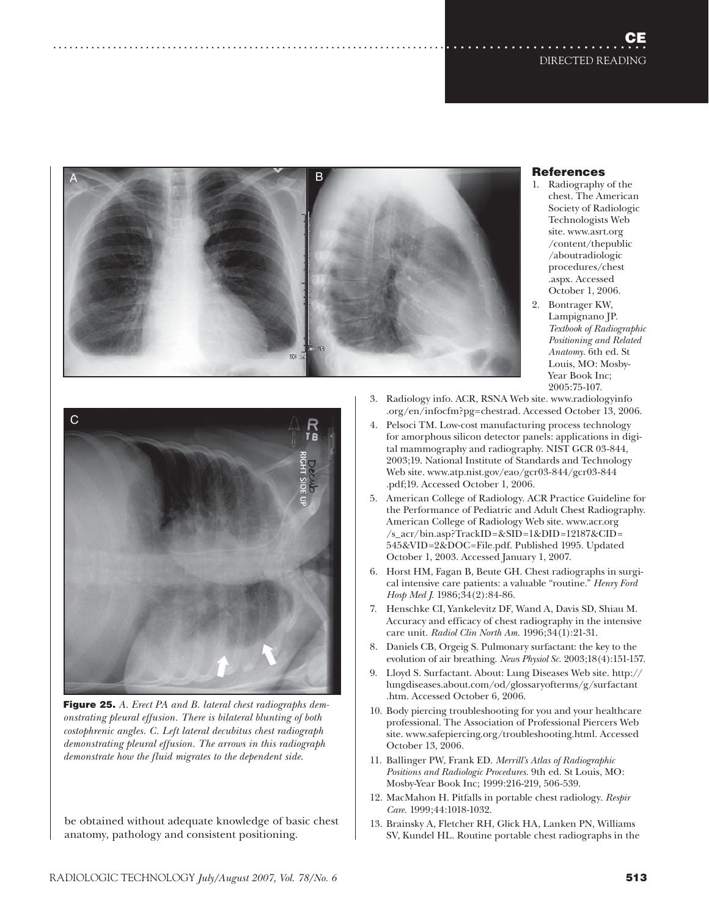## **CE** DIRECTED READING





- chest. The American Society of Radiologic Technologists Web site. www.asrt.org /content/thepublic /aboutradiologic procedures/chest .aspx. Accessed October 1, 2006.
- 2. Bontrager KW, Lampignano JP. *Textbook of Radiographic Positioning and Related Anatomy*. 6th ed. St Louis, MO: Mosby-Year Book Inc; 2005:75-107.



....................................................................................................

**Figure 25.** *A. Erect PA and B. lateral chest radiographs demonstrating pleural effusion. There is bilateral blunting of both costophrenic angles. C. Left lateral decubitus chest radiograph demonstrating pleural effusion. The arrows in this radiograph demonstrate how the fluid migrates to the dependent side.* 

be obtained without adequate knowledge of basic chest anatomy, pathology and consistent positioning.

- 3. Radiology info. ACR, RSNA Web site. www.radiologyinfo .org/en/infocfm?pg=chestrad. Accessed October 13, 2006.
- 4. Pelsoci TM. Low-cost manufacturing process technology for amorphous silicon detector panels: applications in digital mammography and radiography. NIST GCR 03-844, 2003;19. National Institute of Standards and Technology Web site. www.atp.nist.gov/eao/gcr03-844/gcr03-844 .pdf;19. Accessed October 1, 2006.
- 5. American College of Radiology. ACR Practice Guideline for the Performance of Pediatric and Adult Chest Radiography. American College of Radiology Web site. www.acr.org /s\_acr/bin.asp?TrackID=&SID=1&DID=12187&CID= 545&VID=2&DOC=File.pdf. Published 1995. Updated October 1, 2003. Accessed January 1, 2007.
- 6. Horst HM, Fagan B, Beute GH. Chest radiographs in surgical intensive care patients: a valuable "routine." *Henry Ford Hosp Med J*. 1986;34(2):84-86.
- 7. Henschke CI, Yankelevitz DF, Wand A, Davis SD, Shiau M. Accuracy and efficacy of chest radiography in the intensive care unit. *Radiol Clin North Am*. 1996;34(1):21-31.
- 8. Daniels CB, Orgeig S. Pulmonary surfactant: the key to the evolution of air breathing. *News Physiol Sc*. 2003;18(4):151-157.
- 9. Lloyd S. Surfactant. About: Lung Diseases Web site. http:// lungdiseases.about.com/od/glossaryofterms/g/surfactant .htm. Accessed October 6, 2006.
- 10. Body piercing troubleshooting for you and your healthcare professional. The Association of Professional Piercers Web site. www.safepiercing.org/troubleshooting.html. Accessed October 13, 2006.
- 11. Ballinger PW, Frank ED. *Merrill's Atlas of Radiographic Positions and Radiologic Procedures*. 9th ed. St Louis, MO: Mosby-Year Book Inc; 1999:216-219, 506-539.
- 12. MacMahon H. Pitfalls in portable chest radiology. *Respir Care*. 1999;44:1018-1032.
- 13. Brainsky A, Fletcher RH, Glick HA, Lanken PN, Williams SV, Kundel HL. Routine portable chest radiographs in the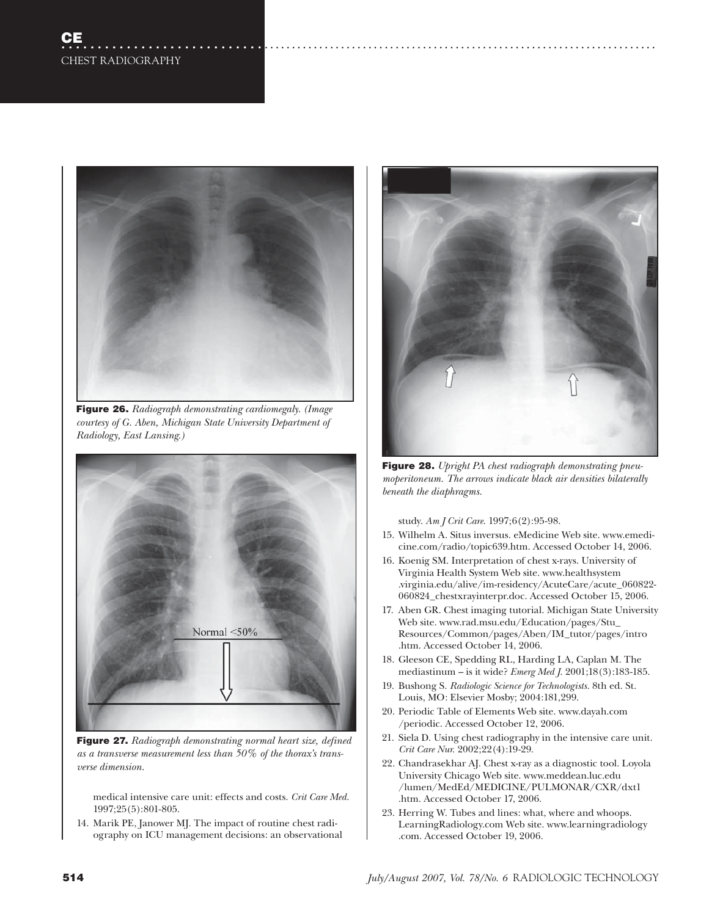

**Figure 26.** *Radiograph demonstrating cardiomegaly. (Image courtesy of G. Aben, Michigan State University Department of Radiology, East Lansing.)* 



**Figure 27.** *Radiograph demonstrating normal heart size, defined as a transverse measurement less than 50% of the thorax's transverse dimension.*

medical intensive care unit: effects and costs. *Crit Care Med*. 1997;25(5):801-805.

14. Marik PE, Janower MJ. The impact of routine chest radiography on ICU management decisions: an observational



....................................................................................................

**Figure 28.** *Upright PA chest radiograph demonstrating pneumoperitoneum. The arrows indicate black air densities bilaterally beneath the diaphragms.*

study. *Am J Crit Care*. 1997;6(2):95-98.

- 15. Wilhelm A. Situs inversus. eMedicine Web site. www.emedicine.com/radio/topic639.htm. Accessed October 14, 2006.
- 16. Koenig SM. Interpretation of chest x-rays. University of Virginia Health System Web site. www.healthsystem .virginia.edu/alive/im-residency/AcuteCare/acute\_060822- 060824\_chestxrayinterpr.doc. Accessed October 15, 2006.
- 17. Aben GR. Chest imaging tutorial. Michigan State University Web site. www.rad.msu.edu/Education/pages/Stu\_ Resources/Common/pages/Aben/IM\_tutor/pages/intro .htm. Accessed October 14, 2006.
- 18. Gleeson CE, Spedding RL, Harding LA, Caplan M. The mediastinum – is it wide? *Emerg Med J*. 2001;18(3):183-185.
- 19. Bushong S. *Radiologic Science for Technologists*. 8th ed. St. Louis, MO: Elsevier Mosby; 2004:181,299.
- 20. Periodic Table of Elements Web site. www.dayah.com /periodic. Accessed October 12, 2006.
- 21. Siela D. Using chest radiography in the intensive care unit. *Crit Care Nur*. 2002;22(4):19-29.
- 22. Chandrasekhar AJ. Chest x-ray as a diagnostic tool. Loyola University Chicago Web site. www.meddean.luc.edu /lumen/MedEd/MEDICINE/PULMONAR/CXR/dxt1 .htm. Accessed October 17, 2006.
- 23. Herring W. Tubes and lines: what, where and whoops. LearningRadiology.com Web site. www.learningradiology .com. Accessed October 19, 2006.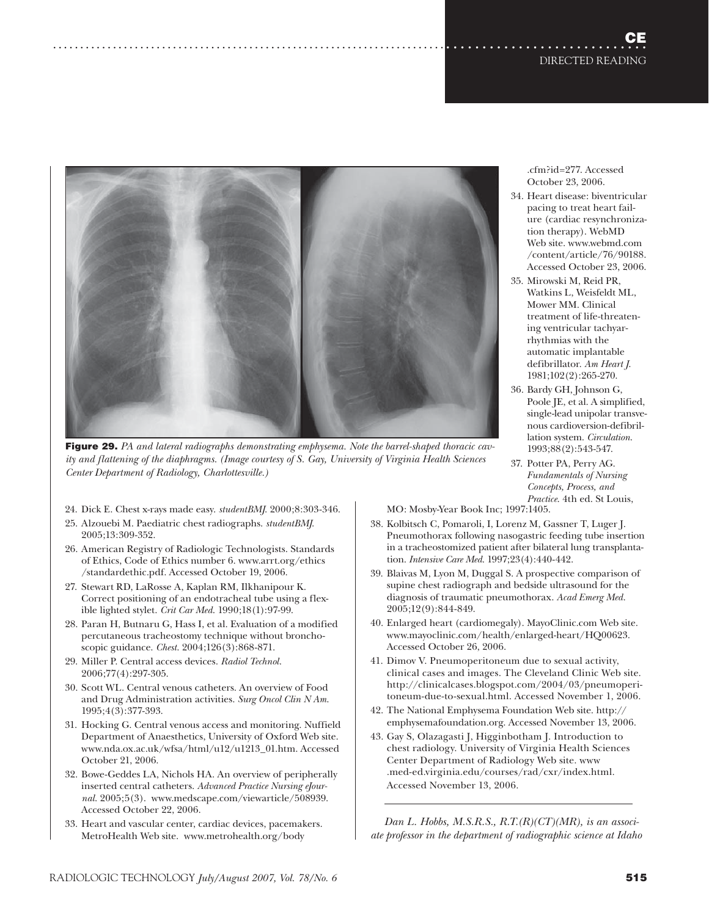

**Figure 29.** *PA and lateral radiographs demonstrating emphysema. Note the barrel-shaped thoracic cavity and flattening of the diaphragms. (Image courtesy of S. Gay, University of Virginia Health Sciences Center Department of Radiology, Charlottesville.)*

24. Dick E. Chest x-rays made easy. *studentBMJ*. 2000;8:303-346.

....................................................................................................

- 25. Alzouebi M. Paediatric chest radiographs. *studentBMJ*. 2005;13:309-352.
- 26. American Registry of Radiologic Technologists. Standards of Ethics, Code of Ethics number 6. www.arrt.org/ethics /standardethic.pdf. Accessed October 19, 2006.
- 27. Stewart RD, LaRosse A, Kaplan RM, Ilkhanipour K. Correct positioning of an endotracheal tube using a flexible lighted stylet. *Crit Car Med*. 1990;18(1):97-99.
- 28. Paran H, Butnaru G, Hass I, et al. Evaluation of a modified percutaneous tracheostomy technique without bronchoscopic guidance. *Chest*. 2004;126(3):868-871.
- 29. Miller P. Central access devices. *Radiol Technol*. 2006;77(4):297-305.
- 30. Scott WL. Central venous catheters. An overview of Food and Drug Administration activities. *Surg Oncol Clin N Am*. 1995;4(3):377-393.
- 31. Hocking G. Central venous access and monitoring. Nuffield Department of Anaesthetics, University of Oxford Web site. www.nda.ox.ac.uk/wfsa/html/u12/u1213\_01.htm. Accessed October 21, 2006.
- 32. Bowe-Geddes LA, Nichols HA. An overview of peripherally inserted central catheters. *Advanced Practice Nursing eJournal*. 2005;5(3). www.medscape.com/viewarticle/508939. Accessed October 22, 2006.
- 33. Heart and vascular center, cardiac devices, pacemakers. MetroHealth Web site. www.metrohealth.org/body

October 23, 2006. 34. Heart disease: biventricular

.cfm?id=277. Accessed

- pacing to treat heart failure (cardiac resynchronization therapy). WebMD Web site. www.webmd.com /content/article/76/90188. Accessed October 23, 2006.
- 35. Mirowski M, Reid PR, Watkins L, Weisfeldt ML, Mower MM. Clinical treatment of life-threatening ventricular tachyarrhythmias with the automatic implantable defibrillator. *Am Heart J*. 1981;102(2):265-270.
- 36. Bardy GH, Johnson G, Poole JE, et al. A simplified, single-lead unipolar transvenous cardioversion-defibrillation system. *Circulation*. 1993;88(2):543-547.
- 37. Potter PA, Perry AG. *Fundamentals of Nursing Concepts, Process, and Practice*. 4th ed. St Louis,

MO: Mosby-Year Book Inc; 1997:1405.

- 38. Kolbitsch C, Pomaroli, I, Lorenz M, Gassner T, Luger J. Pneumothorax following nasogastric feeding tube insertion in a tracheostomized patient after bilateral lung transplantation. *Intensive Care Med*. 1997;23(4):440-442.
- 39. Blaivas M, Lyon M, Duggal S. A prospective comparison of supine chest radiograph and bedside ultrasound for the diagnosis of traumatic pneumothorax. *Acad Emerg Med*. 2005;12(9):844-849.
- 40. Enlarged heart (cardiomegaly). MayoClinic.com Web site. www.mayoclinic.com/health/enlarged-heart/HQ00623. Accessed October 26, 2006.
- 41. Dimov V. Pneumoperitoneum due to sexual activity, clinical cases and images. The Cleveland Clinic Web site. http://clinicalcases.blogspot.com/2004/03/pneumoperitoneum-due-to-sexual.html. Accessed November 1, 2006.
- 42. The National Emphysema Foundation Web site. http:// emphysemafoundation.org. Accessed November 13, 2006.
- 43. Gay S, Olazagasti J, Higginbotham J. Introduction to chest radiology. University of Virginia Health Sciences Center Department of Radiology Web site. www .med-ed.virginia.edu/courses/rad/cxr/index.html. Accessed November 13, 2006.

*Dan L. Hobbs, M.S.R.S., R.T.(R)(CT)(MR), is an associate professor in the department of radiographic science at Idaho*